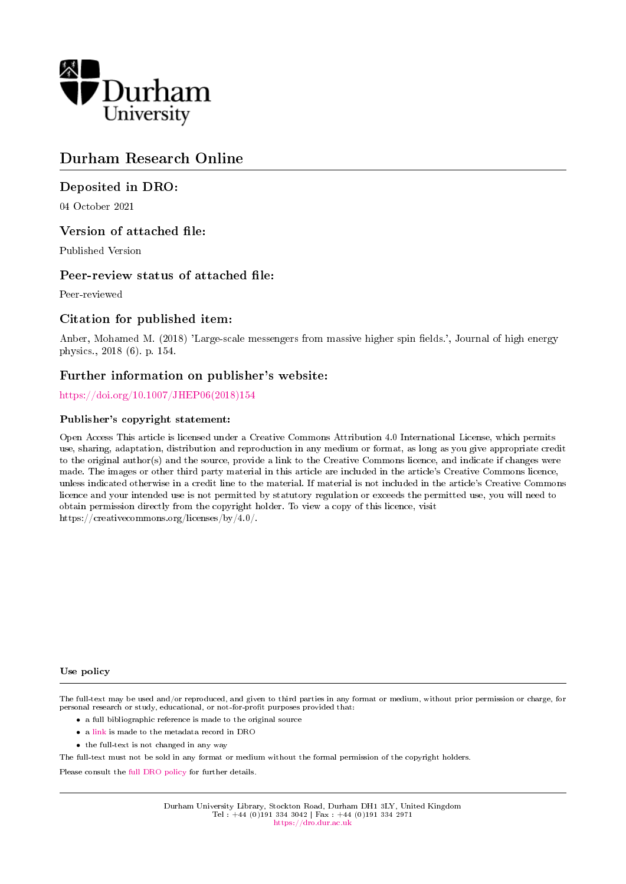

# Durham Research Online

## Deposited in DRO:

04 October 2021

## Version of attached file:

Published Version

## Peer-review status of attached file:

Peer-reviewed

## Citation for published item:

Anber, Mohamed M. (2018) 'Large-scale messengers from massive higher spin fields.', Journal of high energy physics., 2018 (6). p. 154.

## Further information on publisher's website:

[https://doi.org/10.1007/JHEP06\(2018\)154](https://doi.org/10.1007/JHEP06(2018)154)

#### Publisher's copyright statement:

Open Access This article is licensed under a Creative Commons Attribution 4.0 International License, which permits use, sharing, adaptation, distribution and reproduction in any medium or format, as long as you give appropriate credit to the original author(s) and the source, provide a link to the Creative Commons licence, and indicate if changes were made. The images or other third party material in this article are included in the article's Creative Commons licence, unless indicated otherwise in a credit line to the material. If material is not included in the article's Creative Commons licence and your intended use is not permitted by statutory regulation or exceeds the permitted use, you will need to obtain permission directly from the copyright holder. To view a copy of this licence, visit https://creativecommons.org/licenses/by/4.0/.

#### Use policy

The full-text may be used and/or reproduced, and given to third parties in any format or medium, without prior permission or charge, for personal research or study, educational, or not-for-profit purposes provided that:

- a full bibliographic reference is made to the original source
- a [link](http://dro.dur.ac.uk/34042/) is made to the metadata record in DRO
- the full-text is not changed in any way

The full-text must not be sold in any format or medium without the formal permission of the copyright holders.

Please consult the [full DRO policy](https://dro.dur.ac.uk/policies/usepolicy.pdf) for further details.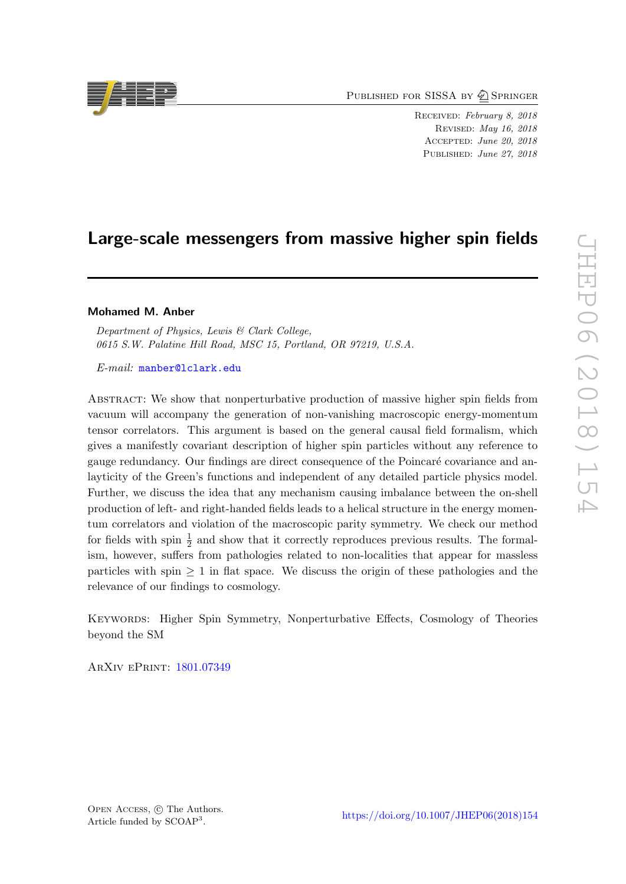PUBLISHED FOR SISSA BY 2 SPRINGER

Received: February 8, 2018 Revised: May 16, 2018 Accepted: June 20, 2018 PUBLISHED: June 27, 2018

# Large-scale messengers from massive higher spin fields

#### Mohamed M. Anber

Department of Physics, Lewis & Clark College, 0615 S.W. Palatine Hill Road, MSC 15, Portland, OR 97219, U.S.A.

E-mail: [manber@lclark.edu](mailto:manber@lclark.edu)

Abstract: We show that nonperturbative production of massive higher spin fields from vacuum will accompany the generation of non-vanishing macroscopic energy-momentum tensor correlators. This argument is based on the general causal field formalism, which gives a manifestly covariant description of higher spin particles without any reference to gauge redundancy. Our findings are direct consequence of the Poincaré covariance and anlayticity of the Green's functions and independent of any detailed particle physics model. Further, we discuss the idea that any mechanism causing imbalance between the on-shell production of left- and right-handed fields leads to a helical structure in the energy momentum correlators and violation of the macroscopic parity symmetry. We check our method for fields with spin  $\frac{1}{2}$  and show that it correctly reproduces previous results. The formalism, however, suffers from pathologies related to non-localities that appear for massless particles with spin  $\geq 1$  in flat space. We discuss the origin of these pathologies and the relevance of our findings to cosmology.

Keywords: Higher Spin Symmetry, Nonperturbative Effects, Cosmology of Theories beyond the SM

ArXiv ePrint: [1801.07349](https://arxiv.org/abs/1801.07349)



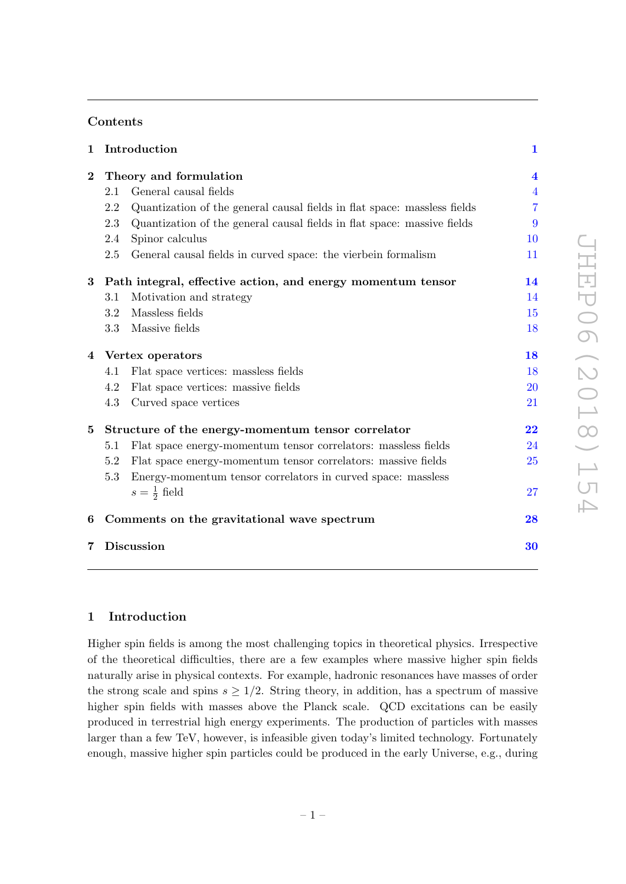## Contents

| $\mathbf{1}$ |                                                             | Introduction                                                             | $\mathbf{1}$            |
|--------------|-------------------------------------------------------------|--------------------------------------------------------------------------|-------------------------|
| $\bf{2}$     | Theory and formulation                                      |                                                                          | $\overline{\mathbf{4}}$ |
|              | 2.1                                                         | General causal fields                                                    | $\overline{4}$          |
|              | 2.2                                                         | Quantization of the general causal fields in flat space: massless fields | 7                       |
|              | 2.3                                                         | Quantization of the general causal fields in flat space: massive fields  | 9                       |
|              | 2.4                                                         | Spinor calculus                                                          | 10                      |
|              | 2.5                                                         | General causal fields in curved space: the vierbein formalism            | 11                      |
| $\bf{3}$     | Path integral, effective action, and energy momentum tensor |                                                                          | 14                      |
|              | 3.1                                                         | Motivation and strategy                                                  | 14                      |
|              | 3.2                                                         | Massless fields                                                          | 15                      |
|              |                                                             | 3.3 Massive fields                                                       | 18                      |
|              | 4 Vertex operators                                          |                                                                          | 18                      |
|              | 4.1                                                         | Flat space vertices: massless fields                                     | 18                      |
|              | 4.2                                                         | Flat space vertices: massive fields                                      | 20                      |
|              | 4.3                                                         | Curved space vertices                                                    | 21                      |
| $5^{\circ}$  | Structure of the energy-momentum tensor correlator          |                                                                          | 22                      |
|              | 5.1                                                         | Flat space energy-momentum tensor correlators: massless fields           | 24                      |
|              | 5.2                                                         | Flat space energy-momentum tensor correlators: massive fields            | 25                      |
|              | 5.3                                                         | Energy-momentum tensor correlators in curved space: massless             |                         |
|              |                                                             | $s=\frac{1}{2}$ field                                                    | 27                      |
| 6            | Comments on the gravitational wave spectrum                 |                                                                          | 28                      |
| 7            | <b>Discussion</b>                                           |                                                                          | 30                      |
|              |                                                             |                                                                          |                         |

### <span id="page-2-0"></span>1 Introduction

Higher spin fields is among the most challenging topics in theoretical physics. Irrespective of the theoretical difficulties, there are a few examples where massive higher spin fields naturally arise in physical contexts. For example, hadronic resonances have masses of order the strong scale and spins  $s \geq 1/2$ . String theory, in addition, has a spectrum of massive higher spin fields with masses above the Planck scale. QCD excitations can be easily produced in terrestrial high energy experiments. The production of particles with masses larger than a few TeV, however, is infeasible given today's limited technology. Fortunately enough, massive higher spin particles could be produced in the early Universe, e.g., during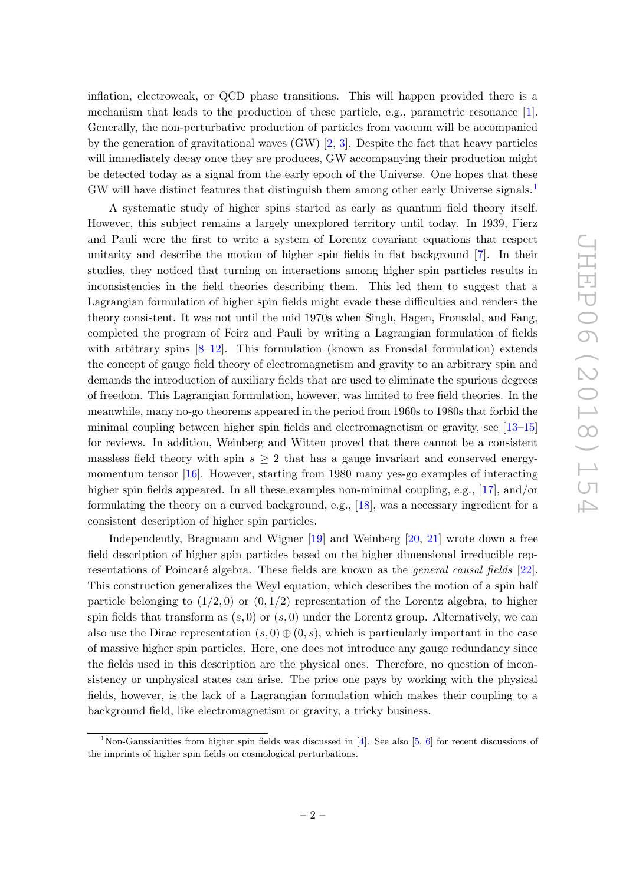inflation, electroweak, or QCD phase transitions. This will happen provided there is a mechanism that leads to the production of these particle, e.g., parametric resonance [\[1\]](#page-32-0). Generally, the non-perturbative production of particles from vacuum will be accompanied by the generation of gravitational waves  $(GW)$  [\[2,](#page-32-1) [3\]](#page-32-2). Despite the fact that heavy particles will immediately decay once they are produces, GW accompanying their production might be detected today as a signal from the early epoch of the Universe. One hopes that these GW will have distinct features that distinguish them among other early Universe signals.<sup>[1](#page-3-0)</sup>

A systematic study of higher spins started as early as quantum field theory itself. However, this subject remains a largely unexplored territory until today. In 1939, Fierz and Pauli were the first to write a system of Lorentz covariant equations that respect unitarity and describe the motion of higher spin fields in flat background [\[7\]](#page-33-0). In their studies, they noticed that turning on interactions among higher spin particles results in inconsistencies in the field theories describing them. This led them to suggest that a Lagrangian formulation of higher spin fields might evade these difficulties and renders the theory consistent. It was not until the mid 1970s when Singh, Hagen, Fronsdal, and Fang, completed the program of Feirz and Pauli by writing a Lagrangian formulation of fields with arbitrary spins  $[8-12]$  $[8-12]$ . This formulation (known as Fronsdal formulation) extends the concept of gauge field theory of electromagnetism and gravity to an arbitrary spin and demands the introduction of auxiliary fields that are used to eliminate the spurious degrees of freedom. This Lagrangian formulation, however, was limited to free field theories. In the meanwhile, many no-go theorems appeared in the period from 1960s to 1980s that forbid the minimal coupling between higher spin fields and electromagnetism or gravity, see [\[13–](#page-33-3)[15\]](#page-33-4) for reviews. In addition, Weinberg and Witten proved that there cannot be a consistent massless field theory with spin  $s \geq 2$  that has a gauge invariant and conserved energymomentum tensor [\[16\]](#page-33-5). However, starting from 1980 many yes-go examples of interacting higher spin fields appeared. In all these examples non-minimal coupling, e.g., [\[17\]](#page-33-6), and/or formulating the theory on a curved background, e.g., [\[18\]](#page-33-7), was a necessary ingredient for a consistent description of higher spin particles.

Independently, Bragmann and Wigner [\[19\]](#page-33-8) and Weinberg [\[20,](#page-33-9) [21\]](#page-33-10) wrote down a free field description of higher spin particles based on the higher dimensional irreducible representations of Poincaré algebra. These fields are known as the *general causal fields* [\[22\]](#page-33-11). This construction generalizes the Weyl equation, which describes the motion of a spin half particle belonging to  $(1/2, 0)$  or  $(0, 1/2)$  representation of the Lorentz algebra, to higher spin fields that transform as  $(s, 0)$  or  $(s, 0)$  under the Lorentz group. Alternatively, we can also use the Dirac representation  $(s, 0) \oplus (0, s)$ , which is particularly important in the case of massive higher spin particles. Here, one does not introduce any gauge redundancy since the fields used in this description are the physical ones. Therefore, no question of inconsistency or unphysical states can arise. The price one pays by working with the physical fields, however, is the lack of a Lagrangian formulation which makes their coupling to a background field, like electromagnetism or gravity, a tricky business.

<span id="page-3-0"></span><sup>&</sup>lt;sup>1</sup>Non-Gaussianities from higher spin fields was discussed in [\[4\]](#page-33-12). See also [\[5,](#page-33-13) [6\]](#page-33-14) for recent discussions of the imprints of higher spin fields on cosmological perturbations.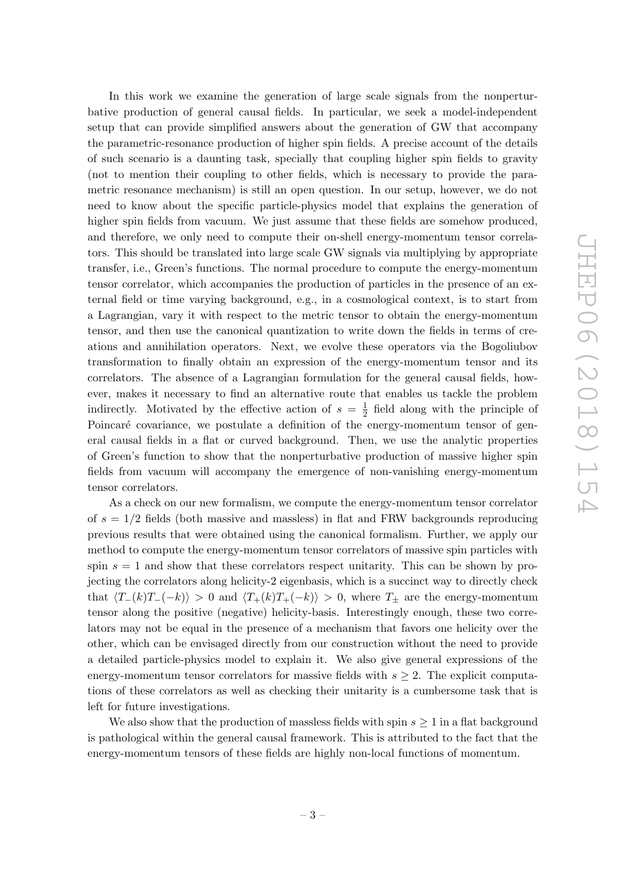In this work we examine the generation of large scale signals from the nonperturbative production of general causal fields. In particular, we seek a model-independent setup that can provide simplified answers about the generation of GW that accompany the parametric-resonance production of higher spin fields. A precise account of the details of such scenario is a daunting task, specially that coupling higher spin fields to gravity (not to mention their coupling to other fields, which is necessary to provide the parametric resonance mechanism) is still an open question. In our setup, however, we do not need to know about the specific particle-physics model that explains the generation of higher spin fields from vacuum. We just assume that these fields are somehow produced, and therefore, we only need to compute their on-shell energy-momentum tensor correlators. This should be translated into large scale GW signals via multiplying by appropriate transfer, i.e., Green's functions. The normal procedure to compute the energy-momentum tensor correlator, which accompanies the production of particles in the presence of an external field or time varying background, e.g., in a cosmological context, is to start from a Lagrangian, vary it with respect to the metric tensor to obtain the energy-momentum tensor, and then use the canonical quantization to write down the fields in terms of creations and annihilation operators. Next, we evolve these operators via the Bogoliubov transformation to finally obtain an expression of the energy-momentum tensor and its correlators. The absence of a Lagrangian formulation for the general causal fields, however, makes it necessary to find an alternative route that enables us tackle the problem indirectly. Motivated by the effective action of  $s = \frac{1}{2}$  $\frac{1}{2}$  field along with the principle of Poincaré covariance, we postulate a definition of the energy-momentum tensor of general causal fields in a flat or curved background. Then, we use the analytic properties of Green's function to show that the nonperturbative production of massive higher spin fields from vacuum will accompany the emergence of non-vanishing energy-momentum tensor correlators.

As a check on our new formalism, we compute the energy-momentum tensor correlator of  $s = 1/2$  fields (both massive and massless) in flat and FRW backgrounds reproducing previous results that were obtained using the canonical formalism. Further, we apply our method to compute the energy-momentum tensor correlators of massive spin particles with spin  $s = 1$  and show that these correlators respect unitarity. This can be shown by projecting the correlators along helicity-2 eigenbasis, which is a succinct way to directly check that  $\langle T_{-}(k)T_{-}(-k)\rangle > 0$  and  $\langle T_{+}(k)T_{+}(-k)\rangle > 0$ , where  $T_{\pm}$  are the energy-momentum tensor along the positive (negative) helicity-basis. Interestingly enough, these two correlators may not be equal in the presence of a mechanism that favors one helicity over the other, which can be envisaged directly from our construction without the need to provide a detailed particle-physics model to explain it. We also give general expressions of the energy-momentum tensor correlators for massive fields with  $s \geq 2$ . The explicit computations of these correlators as well as checking their unitarity is a cumbersome task that is left for future investigations.

We also show that the production of massless fields with spin  $s \geq 1$  in a flat background is pathological within the general causal framework. This is attributed to the fact that the energy-momentum tensors of these fields are highly non-local functions of momentum.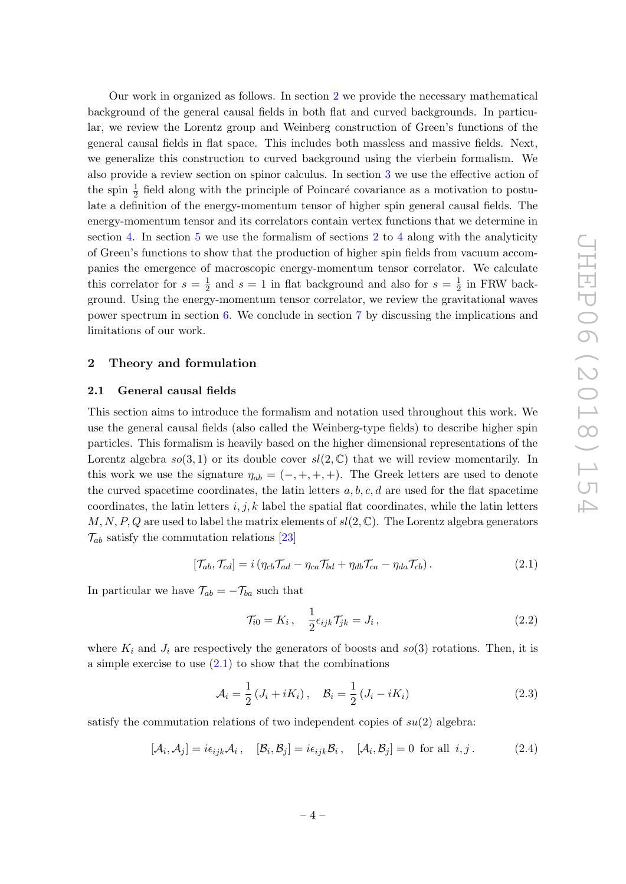Our work in organized as follows. In section [2](#page-5-0) we provide the necessary mathematical background of the general causal fields in both flat and curved backgrounds. In particular, we review the Lorentz group and Weinberg construction of Green's functions of the general causal fields in flat space. This includes both massless and massive fields. Next, we generalize this construction to curved background using the vierbein formalism. We also provide a review section on spinor calculus. In section [3](#page-15-0) we use the effective action of the spin  $\frac{1}{2}$  field along with the principle of Poincaré covariance as a motivation to postulate a definition of the energy-momentum tensor of higher spin general causal fields. The energy-momentum tensor and its correlators contain vertex functions that we determine in section [4.](#page-19-1) In section [5](#page-23-0) we use the formalism of sections [2](#page-5-0) to [4](#page-19-1) along with the analyticity of Green's functions to show that the production of higher spin fields from vacuum accompanies the emergence of macroscopic energy-momentum tensor correlator. We calculate this correlator for  $s=\frac{1}{2}$  $\frac{1}{2}$  and  $s = 1$  in flat background and also for  $s = \frac{1}{2}$  $\frac{1}{2}$  in FRW background. Using the energy-momentum tensor correlator, we review the gravitational waves power spectrum in section [6.](#page-29-0) We conclude in section [7](#page-31-0) by discussing the implications and limitations of our work.

#### <span id="page-5-0"></span>2 Theory and formulation

#### <span id="page-5-1"></span>2.1 General causal fields

This section aims to introduce the formalism and notation used throughout this work. We use the general causal fields (also called the Weinberg-type fields) to describe higher spin particles. This formalism is heavily based on the higher dimensional representations of the Lorentz algebra  $so(3,1)$  or its double cover  $sl(2,\mathbb{C})$  that we will review momentarily. In this work we use the signature  $\eta_{ab} = (-, +, +, +)$ . The Greek letters are used to denote the curved spacetime coordinates, the latin letters  $a, b, c, d$  are used for the flat spacetime coordinates, the latin letters  $i, j, k$  label the spatial flat coordinates, while the latin letters  $M, N, P, Q$  are used to label the matrix elements of  $sl(2, \mathbb{C})$ . The Lorentz algebra generators  $\mathcal{T}_{ab}$  satisfy the commutation relations [\[23\]](#page-33-15)

$$
[\mathcal{T}_{ab}, \mathcal{T}_{cd}] = i (\eta_{cb} \mathcal{T}_{ad} - \eta_{ca} \mathcal{T}_{bd} + \eta_{db} \mathcal{T}_{ca} - \eta_{da} \mathcal{T}_{cb}). \qquad (2.1)
$$

In particular we have  $\mathcal{T}_{ab} = -\mathcal{T}_{ba}$  such that

<span id="page-5-2"></span>
$$
\mathcal{T}_{i0} = K_i, \quad \frac{1}{2} \epsilon_{ijk} \mathcal{T}_{jk} = J_i, \tag{2.2}
$$

where  $K_i$  and  $J_i$  are respectively the generators of boosts and so(3) rotations. Then, it is a simple exercise to use  $(2.1)$  to show that the combinations

$$
\mathcal{A}_{i} = \frac{1}{2} \left( J_{i} + i K_{i} \right), \quad \mathcal{B}_{i} = \frac{1}{2} \left( J_{i} - i K_{i} \right) \tag{2.3}
$$

satisfy the commutation relations of two independent copies of  $su(2)$  algebra:

$$
[\mathcal{A}_i, \mathcal{A}_j] = i\epsilon_{ijk}\mathcal{A}_i, \quad [\mathcal{B}_i, \mathcal{B}_j] = i\epsilon_{ijk}\mathcal{B}_i, \quad [\mathcal{A}_i, \mathcal{B}_j] = 0 \text{ for all } i, j. \tag{2.4}
$$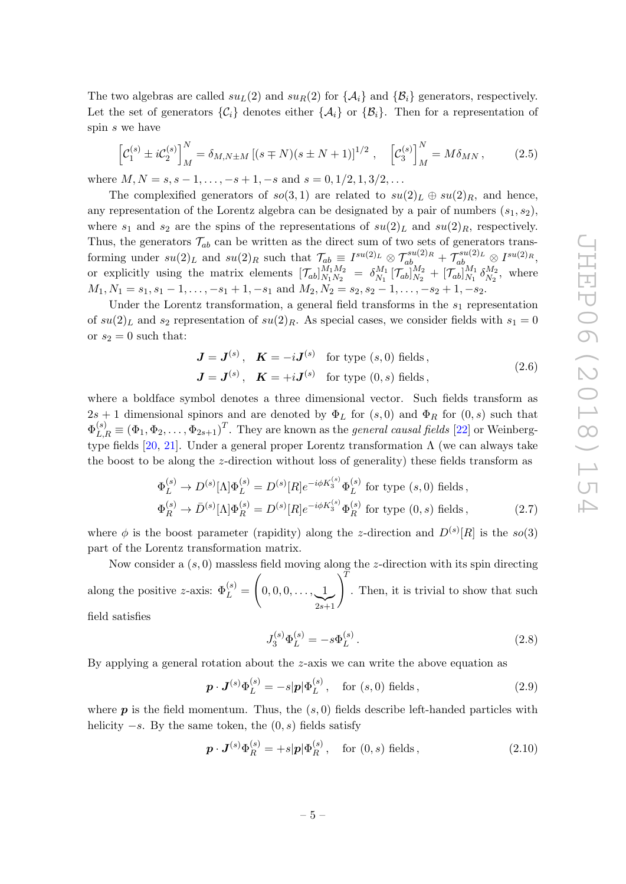The two algebras are called  $su_L(2)$  and  $su_R(2)$  for  $\{\mathcal{A}_i\}$  and  $\{\mathcal{B}_i\}$  generators, respectively. Let the set of generators  $\{\mathcal{C}_i\}$  denotes either  $\{\mathcal{A}_i\}$  or  $\{\mathcal{B}_i\}$ . Then for a representation of spin s we have

$$
\[C_1^{(s)} \pm iC_2^{(s)}\]_M^N = \delta_{M,N \pm M} \left[ (s \mp N)(s \pm N + 1) \right]^{1/2}, \quad \left[ C_3^{(s)} \right]_M^N = M \delta_{MN}, \tag{2.5}
$$

where  $M, N = s, s - 1, \ldots, -s + 1, -s$  and  $s = 0, 1/2, 1, 3/2, \ldots$ 

The complexified generators of  $so(3,1)$  are related to  $su(2)_L \oplus su(2)_R$ , and hence, any representation of the Lorentz algebra can be designated by a pair of numbers  $(s_1, s_2)$ , where  $s_1$  and  $s_2$  are the spins of the representations of  $su(2)_L$  and  $su(2)_R$ , respectively. Thus, the generators  $\mathcal{T}_{ab}$  can be written as the direct sum of two sets of generators transforming under  $su(2)_L$  and  $su(2)_R$  such that  $\mathcal{T}_{ab} \equiv I^{su(2)_L} \otimes \mathcal{T}_{ab}^{su(2)_R} + \mathcal{T}_{ab}^{su(2)_L} \otimes I^{su(2)_R}$ , or explicitly using the matrix elements  $[\mathcal{T}_{ab}]_{N_1N_2}^{M_1M_2}$  $\frac{M_1 M_2}{N_1 N_2} = \delta_{N_1}^{M_1}$  $\mathcal{E}_{N_1}^{M_1} \left[ \mathcal{T}_{ab} \right]_{N_2}^{M_2}$  $\frac{M_{2}}{N_{2}}+\left[\mathcal{T}_{ab}\right]_{N_{1}}^{M_{1}}$  $\frac{M_1}{N_1} \frac{\delta M_2}{\delta N_2}$  $N_2^{M_2}$ , where  $M_1, N_1 = s_1, s_1 - 1, \ldots, -s_1 + 1, -s_1$  and  $M_2, N_2 = s_2, s_2 - 1, \ldots, -s_2 + 1, -s_2$ .

Under the Lorentz transformation, a general field transforms in the  $s_1$  representation of  $su(2)_L$  and  $s_2$  representation of  $su(2)_R$ . As special cases, we consider fields with  $s_1 = 0$ or  $s_2 = 0$  such that:

<span id="page-6-2"></span>
$$
\mathbf{J} = \mathbf{J}^{(s)}, \quad \mathbf{K} = -i\mathbf{J}^{(s)} \quad \text{for type } (s, 0) \text{ fields},
$$
  

$$
\mathbf{J} = \mathbf{J}^{(s)}, \quad \mathbf{K} = +i\mathbf{J}^{(s)} \quad \text{for type } (0, s) \text{ fields},
$$
 (2.6)

where a boldface symbol denotes a three dimensional vector. Such fields transform as  $2s + 1$  dimensional spinors and are denoted by  $\Phi_L$  for  $(s, 0)$  and  $\Phi_R$  for  $(0, s)$  such that  $\Phi_{L,R}^{(s)} \equiv (\Phi_1, \Phi_2, \ldots, \Phi_{2s+1})^T$ . They are known as the *general causal fields* [\[22\]](#page-33-11) or Weinberg-type fields [\[20,](#page-33-9) [21\]](#page-33-10). Under a general proper Lorentz transformation Λ (we can always take the boost to be along the z-direction without loss of generality) these fields transform as

$$
\Phi_L^{(s)} \to D^{(s)}[\Lambda] \Phi_L^{(s)} = D^{(s)}[R] e^{-i\phi K_3^{(s)}} \Phi_L^{(s)} \text{ for type } (s, 0) \text{ fields,}
$$
  
\n
$$
\Phi_R^{(s)} \to \bar{D}^{(s)}[\Lambda] \Phi_R^{(s)} = D^{(s)}[R] e^{-i\phi K_3^{(s)}} \Phi_R^{(s)} \text{ for type } (0, s) \text{ fields,}
$$
\n(2.7)

where  $\phi$  is the boost parameter (rapidity) along the *z*-direction and  $D^{(s)}[R]$  is the so(3) part of the Lorentz transformation matrix.

Now consider a  $(s, 0)$  massless field moving along the z-direction with its spin directing along the positive z-axis:  $\Phi_L^{(s)} =$  $\sqrt{ }$  $0, 0, 0, \ldots, 1$  $\sum_{2s+1}$  $\setminus^T$ . Then, it is trivial to show that such field satisfies

<span id="page-6-1"></span><span id="page-6-0"></span>
$$
J_3^{(s)}\Phi_L^{(s)} = -s\Phi_L^{(s)}.
$$
\n(2.8)

By applying a general rotation about the z-axis we can write the above equation as

$$
\boldsymbol{p} \cdot \boldsymbol{J}^{(s)} \Phi_L^{(s)} = -s|\boldsymbol{p}| \Phi_L^{(s)}, \quad \text{for } (s, 0) \text{ fields}, \tag{2.9}
$$

where  $p$  is the field momentum. Thus, the  $(s, 0)$  fields describe left-handed particles with helicity  $-s$ . By the same token, the  $(0, s)$  fields satisfy

$$
\boldsymbol{p} \cdot \boldsymbol{J}^{(s)} \Phi_R^{(s)} = +s|\boldsymbol{p}| \Phi_R^{(s)}, \quad \text{for } (0, s) \text{ fields}, \tag{2.10}
$$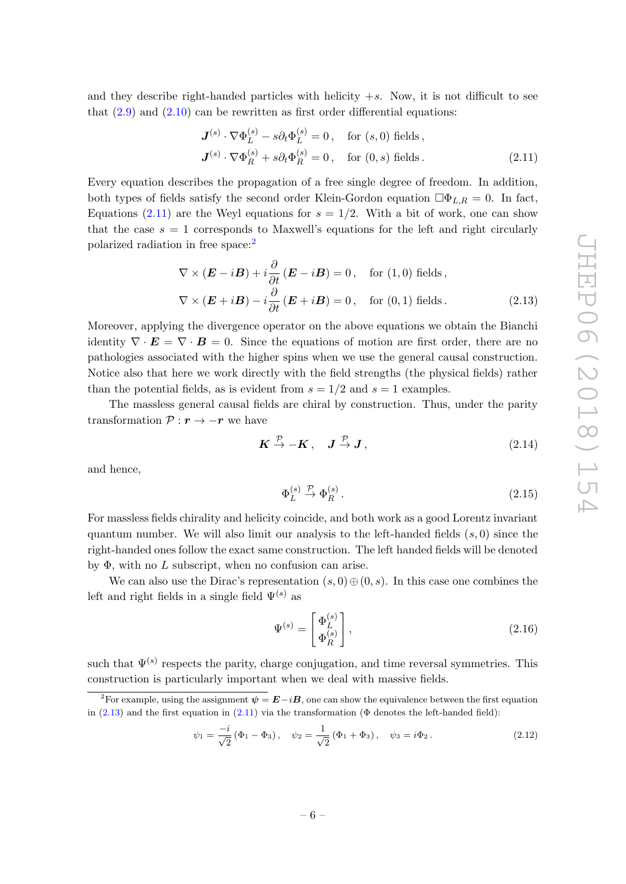and they describe right-handed particles with helicity  $+s$ . Now, it is not difficult to see that  $(2.9)$  and  $(2.10)$  can be rewritten as first order differential equations:

<span id="page-7-0"></span>
$$
\mathbf{J}^{(s)} \cdot \nabla \Phi_L^{(s)} - s \partial_t \Phi_L^{(s)} = 0, \quad \text{for } (s, 0) \text{ fields},
$$
  

$$
\mathbf{J}^{(s)} \cdot \nabla \Phi_R^{(s)} + s \partial_t \Phi_R^{(s)} = 0, \quad \text{for } (0, s) \text{ fields}.
$$
 (2.11)

Every equation describes the propagation of a free single degree of freedom. In addition, both types of fields satisfy the second order Klein-Gordon equation  $\Box \Phi_{L,R} = 0$ . In fact, Equations [\(2.11\)](#page-7-0) are the Weyl equations for  $s = 1/2$ . With a bit of work, one can show that the case  $s = 1$  corresponds to Maxwell's equations for the left and right circularly polarized radiation in free space:[2](#page-7-1)

$$
\nabla \times (\mathbf{E} - i\mathbf{B}) + i \frac{\partial}{\partial t} (\mathbf{E} - i\mathbf{B}) = 0, \text{ for (1,0) fields,}
$$
  

$$
\nabla \times (\mathbf{E} + i\mathbf{B}) - i \frac{\partial}{\partial t} (\mathbf{E} + i\mathbf{B}) = 0, \text{ for (0,1) fields.}
$$
 (2.13)

Moreover, applying the divergence operator on the above equations we obtain the Bianchi identity  $\nabla \cdot \mathbf{E} = \nabla \cdot \mathbf{B} = 0$ . Since the equations of motion are first order, there are no pathologies associated with the higher spins when we use the general causal construction. Notice also that here we work directly with the field strengths (the physical fields) rather than the potential fields, as is evident from  $s = 1/2$  and  $s = 1$  examples.

The massless general causal fields are chiral by construction. Thus, under the parity transformation  $P : \mathbf{r} \to -\mathbf{r}$  we have

<span id="page-7-2"></span>
$$
\boldsymbol{K} \stackrel{\mathcal{P}}{\to} -\boldsymbol{K} \,, \quad \boldsymbol{J} \stackrel{\mathcal{P}}{\to} \boldsymbol{J} \,, \tag{2.14}
$$

and hence,

$$
\Phi_L^{(s)} \stackrel{\mathcal{P}}{\rightarrow} \Phi_R^{(s)}.
$$
\n
$$
(2.15)
$$

For massless fields chirality and helicity coincide, and both work as a good Lorentz invariant quantum number. We will also limit our analysis to the left-handed fields  $(s, 0)$  since the right-handed ones follow the exact same construction. The left handed fields will be denoted by  $\Phi$ , with no L subscript, when no confusion can arise.

We can also use the Dirac's representation  $(s, 0) \oplus (0, s)$ . In this case one combines the left and right fields in a single field  $\Psi^{(s)}$  as

<span id="page-7-3"></span>
$$
\Psi^{(s)} = \begin{bmatrix} \Phi_L^{(s)} \\ \Phi_R^{(s)} \end{bmatrix},\tag{2.16}
$$

such that  $\Psi^{(s)}$  respects the parity, charge conjugation, and time reversal symmetries. This construction is particularly important when we deal with massive fields.

$$
\psi_1 = \frac{-i}{\sqrt{2}} (\Phi_1 - \Phi_3), \quad \psi_2 = \frac{1}{\sqrt{2}} (\Phi_1 + \Phi_3), \quad \psi_3 = i\Phi_2.
$$
 (2.12)

<span id="page-7-1"></span><sup>&</sup>lt;sup>2</sup>For example, using the assignment  $\psi = \mathbf{E} - i\mathbf{B}$ , one can show the equivalence between the first equation in  $(2.13)$  and the first equation in  $(2.11)$  via the transformation ( $\Phi$  denotes the left-handed field):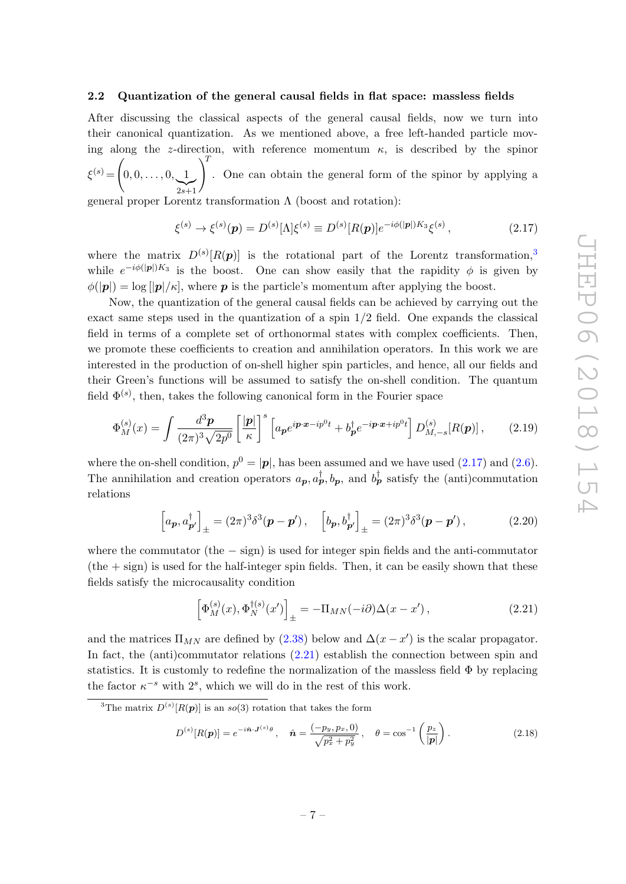#### <span id="page-8-0"></span>2.2 Quantization of the general causal fields in flat space: massless fields

After discussing the classical aspects of the general causal fields, now we turn into their canonical quantization. As we mentioned above, a free left-handed particle moving along the z-direction, with reference momentum  $\kappa$ , is described by the spinor  $\xi^{(s)} =$  $\sqrt{ }$  $0, 0, \ldots, 0, 1$  $\sum_{2s+1}$ 2s+1  $\setminus^T$ . One can obtain the general form of the spinor by applying a

general proper Lorentz transformation  $\Lambda$  (boost and rotation):

<span id="page-8-2"></span>
$$
\xi^{(s)} \to \xi^{(s)}(\mathbf{p}) = D^{(s)}[\Lambda] \xi^{(s)} \equiv D^{(s)}[R(\mathbf{p})] e^{-i\phi(|\mathbf{p}|)K_3} \xi^{(s)}, \tag{2.17}
$$

where the matrix  $D^{(s)}[R(p)]$  is the rotational part of the Lorentz transformation,<sup>[3](#page-8-1)</sup> while  $e^{-i\phi(|p|)K_3}$  is the boost. One can show easily that the rapidity  $\phi$  is given by  $\phi(|p|) = \log |p|/\kappa$ , where **p** is the particle's momentum after applying the boost.

Now, the quantization of the general causal fields can be achieved by carrying out the exact same steps used in the quantization of a spin  $1/2$  field. One expands the classical field in terms of a complete set of orthonormal states with complex coefficients. Then, we promote these coefficients to creation and annihilation operators. In this work we are interested in the production of on-shell higher spin particles, and hence, all our fields and their Green's functions will be assumed to satisfy the on-shell condition. The quantum field  $\Phi^{(s)}$ , then, takes the following canonical form in the Fourier space

$$
\Phi_M^{(s)}(x) = \int \frac{d^3 \mathbf{p}}{(2\pi)^3 \sqrt{2p^0}} \left[ \frac{|\mathbf{p}|}{\kappa} \right]^s \left[ a_\mathbf{p} e^{i\mathbf{p}\cdot\mathbf{x} - ip^0 t} + b_\mathbf{p}^\dagger e^{-i\mathbf{p}\cdot\mathbf{x} + ip^0 t} \right] D_{M, -s}^{(s)}[R(\mathbf{p})],\tag{2.19}
$$

where the on-shell condition,  $p^0 = |\mathbf{p}|$ , has been assumed and we have used [\(2.17\)](#page-8-2) and [\(2.6\)](#page-6-2). The annihilation and creation operators  $a_{\mathbf{p}}, a_{\mathbf{p}}^{\dagger}, b_{\mathbf{p}},$  and  $b_{\mathbf{p}}^{\dagger}$  satisfy the (anti)commutation relations

<span id="page-8-4"></span>
$$
\left[a_{\boldsymbol{p}}, a_{\boldsymbol{p}'}^\dagger\right]_\pm = (2\pi)^3 \delta^3(\boldsymbol{p} - \boldsymbol{p}'), \quad \left[b_{\boldsymbol{p}}, b_{\boldsymbol{p}'}^\dagger\right]_\pm = (2\pi)^3 \delta^3(\boldsymbol{p} - \boldsymbol{p}'),\tag{2.20}
$$

where the commutator (the  $-$  sign) is used for integer spin fields and the anti-commutator  $(the + sign)$  is used for the half-integer spin fields. Then, it can be easily shown that these fields satisfy the microcausality condition

<span id="page-8-3"></span>
$$
\left[\Phi_M^{(s)}(x), \Phi_N^{\dagger(s)}(x')\right]_{\pm} = -\Pi_{MN}(-i\partial)\Delta(x - x'),\tag{2.21}
$$

and the matrices  $\Pi_{MN}$  are defined by [\(2.38\)](#page-11-1) below and  $\Delta(x - x')$  is the scalar propagator. In fact, the (anti)commutator relations [\(2.21\)](#page-8-3) establish the connection between spin and statistics. It is customly to redefine the normalization of the massless field  $\Phi$  by replacing the factor  $\kappa^{-s}$  with  $2^s$ , which we will do in the rest of this work.

$$
D^{(s)}[R(\boldsymbol{p})] = e^{-i\hat{\boldsymbol{n}} \cdot \boldsymbol{J}^{(s)}\theta}, \quad \hat{\boldsymbol{n}} = \frac{(-p_y, p_x, 0)}{\sqrt{p_x^2 + p_y^2}}, \quad \theta = \cos^{-1}\left(\frac{p_z}{|\boldsymbol{p}|}\right). \tag{2.18}
$$

<span id="page-8-1"></span><sup>&</sup>lt;sup>3</sup>The matrix  $D^{(s)}[R(\boldsymbol{p})]$  is an so(3) rotation that takes the form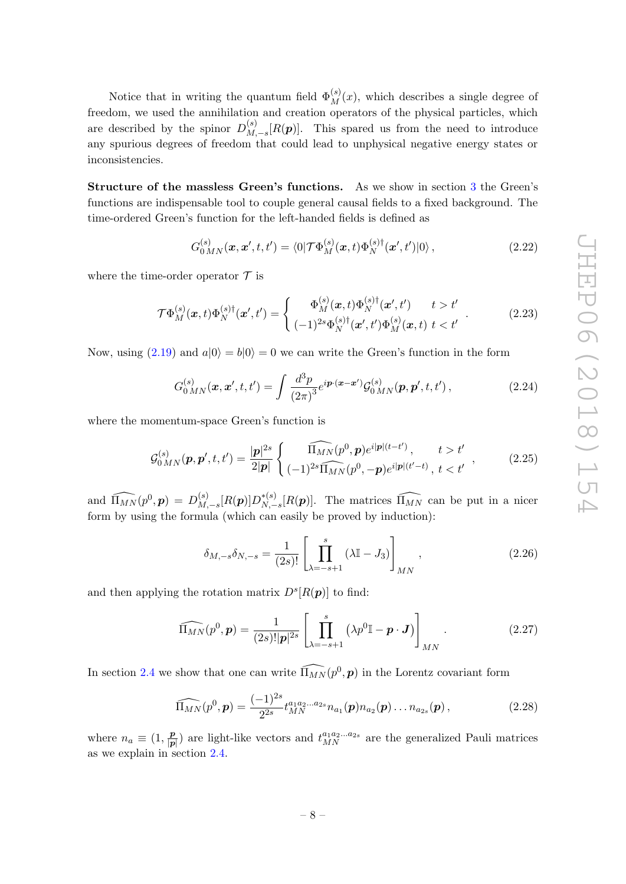Notice that in writing the quantum field  $\Phi_M^{(s)}(x)$ , which describes a single degree of freedom, we used the annihilation and creation operators of the physical particles, which are described by the spinor  $D_M^{(s)}$  $\binom{S}{M,-s}[R(\boldsymbol{p})]$ . This spared us from the need to introduce any spurious degrees of freedom that could lead to unphysical negative energy states or inconsistencies.

Structure of the massless Green's functions. As we show in section [3](#page-15-0) the Green's functions are indispensable tool to couple general causal fields to a fixed background. The time-ordered Green's function for the left-handed fields is defined as

$$
G_{0MN}^{(s)}(\boldsymbol{x},\boldsymbol{x}',t,t') = \langle 0|\mathcal{T}\Phi_M^{(s)}(\boldsymbol{x},t)\Phi_N^{(s)\dagger}(\boldsymbol{x}',t')|0\rangle\,,\tag{2.22}
$$

where the time-order operator  $\mathcal T$  is

$$
\mathcal{T}\Phi_{M}^{(s)}(\boldsymbol{x},t)\Phi_{N}^{(s)\dagger}(\boldsymbol{x}',t') = \begin{cases} \Phi_{M}^{(s)}(\boldsymbol{x},t)\Phi_{N}^{(s)\dagger}(\boldsymbol{x}',t') & t > t'\\ (-1)^{2s}\Phi_{N}^{(s)\dagger}(\boldsymbol{x}',t')\Phi_{M}^{(s)}(\boldsymbol{x},t) & t < t' \end{cases} \tag{2.23}
$$

Now, using [\(2.19\)](#page-8-4) and  $a|0\rangle = b|0\rangle = 0$  we can write the Green's function in the form

<span id="page-9-2"></span>
$$
G_{0MN}^{(s)}(\boldsymbol{x}, \boldsymbol{x}', t, t') = \int \frac{d^3 p}{(2\pi)^3} e^{i \boldsymbol{p} \cdot (\boldsymbol{x} - \boldsymbol{x}')} \mathcal{G}_{0MN}^{(s)}(\boldsymbol{p}, \boldsymbol{p}', t, t'), \qquad (2.24)
$$

where the momentum-space Green's function is

$$
\mathcal{G}_{0MN}^{(s)}(\boldsymbol{p},\boldsymbol{p}',t,t') = \frac{|\boldsymbol{p}|^{2s}}{2|\boldsymbol{p}|} \left\{ \begin{array}{l} \widehat{\Pi_{MN}}(p^{0},\boldsymbol{p})e^{i|\boldsymbol{p}|(t-t')}, & t > t'\\ (-1)^{2s}\widehat{\Pi_{MN}}(p^{0},-\boldsymbol{p})e^{i|\boldsymbol{p}|(t'-t)}, & t < t' \end{array} \right., \tag{2.25}
$$

and  $\widehat{\Pi_{MN}}(p^0, \boldsymbol{p}) = D_M^{(s)}$  $_{M,-s}^{(s)}[R({\bm p})]D_{N,-}^{*(s)}$ <sup>\*(s)</sup><sub>N,−s</sub>[R(p)]. The matrices  $\widehat{\Pi_{MN}}$  can be put in a nicer form by using the formula (which can easily be proved by induction):

<span id="page-9-1"></span><span id="page-9-0"></span>
$$
\delta_{M, -s} \delta_{N, -s} = \frac{1}{(2s)!} \left[ \prod_{\lambda = -s+1}^{s} (\lambda \mathbb{I} - J_3) \right]_{MN}, \qquad (2.26)
$$

and then applying the rotation matrix  $D^{s}[R(\boldsymbol{p})]$  to find:

$$
\widehat{\Pi_{MN}}(p^0, \mathbf{p}) = \frac{1}{(2s)! |\mathbf{p}|^{2s}} \left[ \prod_{\lambda=-s+1}^s \left( \lambda p^0 \mathbb{I} - \mathbf{p} \cdot \mathbf{J} \right) \right]_{MN} . \tag{2.27}
$$

In section [2.4](#page-11-0) we show that one can write  $\widehat{\Pi_{MN}}(p^0, p)$  in the Lorentz covariant form

$$
\widehat{\Pi_{MN}}(p^0, \mathbf{p}) = \frac{(-1)^{2s}}{2^{2s}} t_{MN}^{a_1 a_2 \dots a_{2s}} n_{a_1}(\mathbf{p}) n_{a_2}(\mathbf{p}) \dots n_{a_{2s}}(\mathbf{p}), \qquad (2.28)
$$

where  $n_a \equiv (1, \frac{p}{p})$  $\frac{p}{|p|}$  are light-like vectors and  $t_{MN}^{a_1a_2...a_{2s}}$  are the generalized Pauli matrices as we explain in section [2.4.](#page-11-0)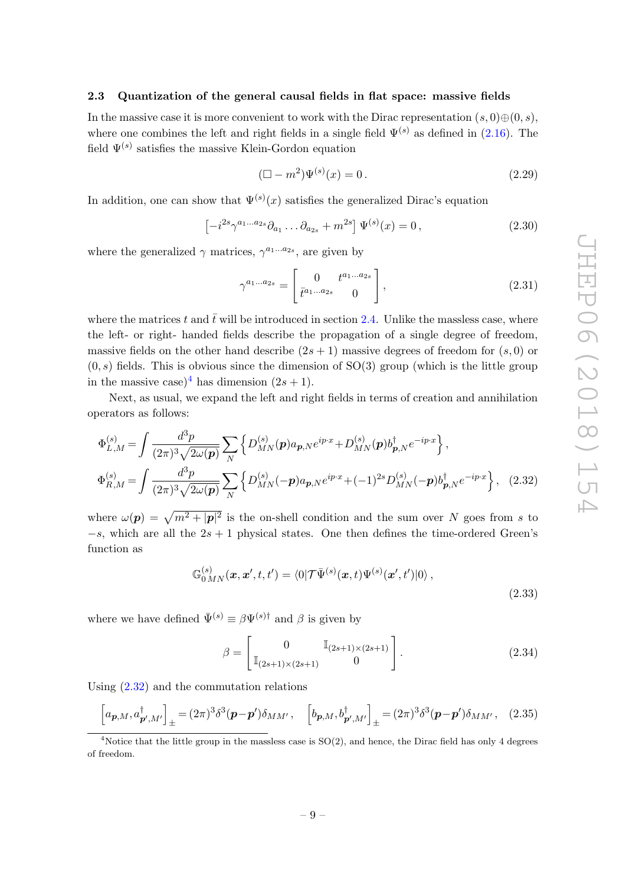#### <span id="page-10-0"></span>2.3 Quantization of the general causal fields in flat space: massive fields

In the massive case it is more convenient to work with the Dirac representation  $(s, 0) \oplus (0, s)$ , where one combines the left and right fields in a single field  $\Psi^{(s)}$  as defined in [\(2.16\)](#page-7-3). The field  $\Psi^{(s)}$  satisfies the massive Klein-Gordon equation

<span id="page-10-3"></span>
$$
(\Box - m^2)\Psi^{(s)}(x) = 0.
$$
\n(2.29)

In addition, one can show that  $\Psi^{(s)}(x)$  satisfies the generalized Dirac's equation

$$
\left[-i^{2s}\gamma^{a_1...a_{2s}}\partial_{a_1}\dots\partial_{a_{2s}} + m^{2s}\right]\Psi^{(s)}(x) = 0\,,\tag{2.30}
$$

where the generalized  $\gamma$  matrices,  $\gamma^{a_1...a_{2s}}$ , are given by

$$
\gamma^{a_1...a_{2s}} = \begin{bmatrix} 0 & t^{a_1...a_{2s}} \\ \bar{t}^{a_1...a_{2s}} & 0 \end{bmatrix},
$$
\n(2.31)

where the matrices t and  $\bar{t}$  will be introduced in section [2.4.](#page-11-0) Unlike the massless case, where the left- or right- handed fields describe the propagation of a single degree of freedom, massive fields on the other hand describe  $(2s + 1)$  massive degrees of freedom for  $(s, 0)$  or  $(0, s)$  fields. This is obvious since the dimension of SO(3) group (which is the little group in the massive case)<sup>[4](#page-10-1)</sup> has dimension  $(2s + 1)$ .

Next, as usual, we expand the left and right fields in terms of creation and annihilation operators as follows:

$$
\Phi_{L,M}^{(s)} = \int \frac{d^3 p}{(2\pi)^3 \sqrt{2\omega(p)}} \sum_N \left\{ D_{MN}^{(s)}(\mathbf{p}) a_{\mathbf{p},N} e^{ip\cdot x} + D_{MN}^{(s)}(\mathbf{p}) b_{\mathbf{p},N}^\dagger e^{-ip\cdot x} \right\},
$$
\n
$$
\Phi_{R,M}^{(s)} = \int \frac{d^3 p}{(2\pi)^3 \sqrt{2\omega(p)}} \sum_N \left\{ D_{MN}^{(s)}(-\mathbf{p}) a_{\mathbf{p},N} e^{ip\cdot x} + (-1)^{2s} D_{MN}^{(s)}(-\mathbf{p}) b_{\mathbf{p},N}^\dagger e^{-ip\cdot x} \right\}, \quad (2.32)
$$

where  $\omega(\mathbf{p}) = \sqrt{m^2 + |\mathbf{p}|^2}$  is the on-shell condition and the sum over N goes from s to  $-s$ , which are all the  $2s + 1$  physical states. One then defines the time-ordered Green's function as

<span id="page-10-2"></span>
$$
\mathbb{G}_{0MN}^{(s)}(\boldsymbol{x},\boldsymbol{x}',t,t') = \langle 0|\mathcal{T}\bar{\Psi}^{(s)}(\boldsymbol{x},t)\Psi^{(s)}(\boldsymbol{x}',t')|0\rangle, \qquad (2.33)
$$

where we have defined  $\bar{\Psi}^{(s)} \equiv \beta \Psi^{(s) \dagger}$  and  $\beta$  is given by

$$
\beta = \begin{bmatrix} 0 & \mathbb{I}_{(2s+1)\times(2s+1)} \\ \mathbb{I}_{(2s+1)\times(2s+1)} & 0 \end{bmatrix}.
$$
 (2.34)

Using [\(2.32\)](#page-10-2) and the commutation relations

$$
\left[a_{\boldsymbol{p},M},a^{\dagger}_{\boldsymbol{p}',M'}\right]_{\pm} = (2\pi)^3 \delta^3(\boldsymbol{p}-\boldsymbol{p}')\delta_{MM'}, \quad \left[b_{\boldsymbol{p},M},b^{\dagger}_{\boldsymbol{p}',M'}\right]_{\pm} = (2\pi)^3 \delta^3(\boldsymbol{p}-\boldsymbol{p}')\delta_{MM'}, \quad (2.35)
$$

<span id="page-10-1"></span><sup>&</sup>lt;sup>4</sup>Notice that the little group in the massless case is  $SO(2)$ , and hence, the Dirac field has only 4 degrees of freedom.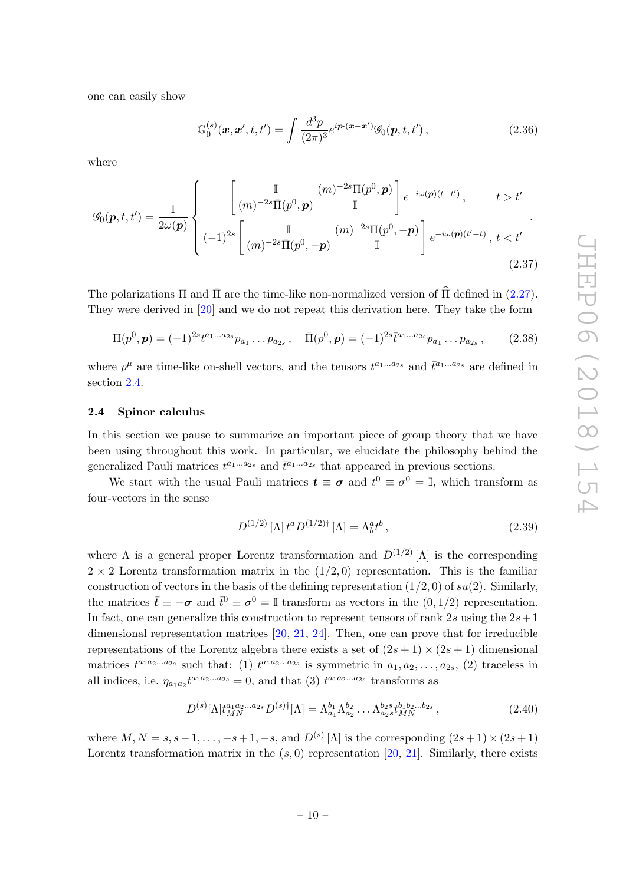one can easily show

<span id="page-11-3"></span><span id="page-11-2"></span>
$$
\mathbb{G}_0^{(s)}(\mathbf{x}, \mathbf{x}', t, t') = \int \frac{d^3 p}{(2\pi)^3} e^{i \mathbf{p} \cdot (\mathbf{x} - \mathbf{x}')} \mathcal{G}_0(\mathbf{p}, t, t'), \qquad (2.36)
$$

where

$$
\mathscr{G}_0(\mathbf{p},t,t') = \frac{1}{2\omega(\mathbf{p})} \left\{ \begin{array}{cc} \begin{bmatrix} \mathbb{I} & (m)^{-2s}\Pi(p^0,\mathbf{p}) \\ (m)^{-2s}\bar{\Pi}(p^0,\mathbf{p}) & \mathbb{I} \end{bmatrix} e^{-i\omega(\mathbf{p})(t-t')}, & t > t' \\ (-1)^{2s} \begin{bmatrix} \mathbb{I} & (m)^{-2s}\Pi(p^0,-\mathbf{p}) \\ (m)^{-2s}\bar{\Pi}(p^0,-\mathbf{p}) & \mathbb{I} \end{bmatrix} e^{-i\omega(\mathbf{p})(t'-t)}, & t < t' \end{array} \right. \tag{2.37}
$$

The polarizations  $\Pi$  and  $\overline{\Pi}$  are the time-like non-normalized version of  $\widehat{\Pi}$  defined in ([2.27\)](#page-9-0). They were derived in [\[20\]](#page-33-9) and we do not repeat this derivation here. They take the form

$$
\Pi(p^0, \mathbf{p}) = (-1)^{2s} t^{a_1 \dots a_{2s}} p_{a_1} \dots p_{a_{2s}}, \quad \bar{\Pi}(p^0, \mathbf{p}) = (-1)^{2s} \bar{t}^{a_1 \dots a_{2s}} p_{a_1} \dots p_{a_{2s}}, \quad (2.38)
$$

where  $p^{\mu}$  are time-like on-shell vectors, and the tensors  $t^{a_1...a_{2s}}$  and  $\bar{t}^{a_1...a_{2s}}$  are defined in section [2.4.](#page-11-0)

#### <span id="page-11-0"></span>2.4 Spinor calculus

In this section we pause to summarize an important piece of group theory that we have been using throughout this work. In particular, we elucidate the philosophy behind the generalized Pauli matrices  $t^{a_1...a_{2s}}$  and  $\bar{t}^{a_1...a_{2s}}$  that appeared in previous sections.

We start with the usual Pauli matrices  $t \equiv \sigma$  and  $t^0 \equiv \sigma^0 = \mathbb{I}$ , which transform as four-vectors in the sense

<span id="page-11-4"></span><span id="page-11-1"></span>
$$
D^{(1/2)} [\Lambda] t^a D^{(1/2)\dagger} [\Lambda] = \Lambda_b^a t^b , \qquad (2.39)
$$

where  $\Lambda$  is a general proper Lorentz transformation and  $D^{(1/2)}[\Lambda]$  is the corresponding  $2 \times 2$  Lorentz transformation matrix in the  $(1/2, 0)$  representation. This is the familiar construction of vectors in the basis of the defining representation  $(1/2, 0)$  of  $su(2)$ . Similarly, the matrices  $\bar{\bm{t}} \equiv -\bm{\sigma}$  and  $\bar{t}^0 \equiv \sigma^0 = \mathbb{I}$  transform as vectors in the  $(0, 1/2)$  representation. In fact, one can generalize this construction to represent tensors of rank 2s using the  $2s+1$ dimensional representation matrices [\[20,](#page-33-9) [21,](#page-33-10) [24\]](#page-33-16). Then, one can prove that for irreducible representations of the Lorentz algebra there exists a set of  $(2s + 1) \times (2s + 1)$  dimensional matrices  $t^{a_1 a_2 \ldots a_{2s}}$  such that: (1)  $t^{a_1 a_2 \ldots a_{2s}}$  is symmetric in  $a_1, a_2, \ldots, a_{2s}$ , (2) traceless in all indices, i.e.  $\eta_{a_1 a_2} t^{a_1 a_2 \dots a_{2s}} = 0$ , and that (3)  $t^{a_1 a_2 \dots a_{2s}}$  transforms as

$$
D^{(s)}[\Lambda]t_{MN}^{a_1a_2...a_{2s}}D^{(s)\dagger}[\Lambda] = \Lambda_{a_1}^{b_1}\Lambda_{a_2}^{b_2} \dots \Lambda_{a_{2s}}^{b_{2s}}t_{MN}^{b_1b_2...b_{2s}},\tag{2.40}
$$

where  $M, N = s, s - 1, \ldots, -s + 1, -s$ , and  $D^{(s)}[\Lambda]$  is the corresponding  $(2s + 1) \times (2s + 1)$ Lorentz transformation matrix in the  $(s, 0)$  representation [\[20,](#page-33-9) [21\]](#page-33-10). Similarly, there exists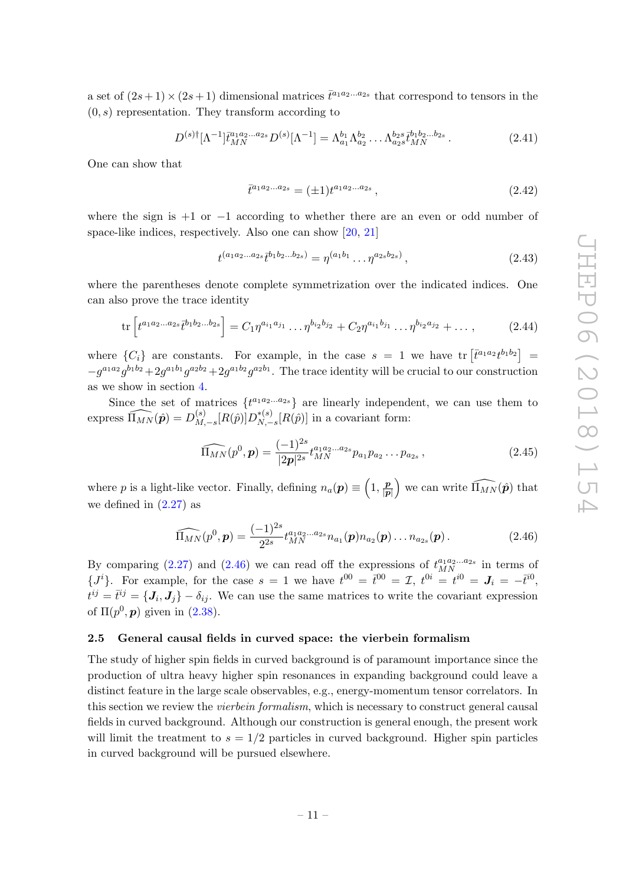a set of  $(2s+1) \times (2s+1)$  dimensional matrices  $\bar{t}^{a_1 a_2 \ldots a_{2s}}$  that correspond to tensors in the  $(0, s)$  representation. They transform according to

$$
D^{(s)\dagger}[\Lambda^{-1}]\bar{t}_{MN}^{a_1a_2...a_{2s}}D^{(s)}[\Lambda^{-1}] = \Lambda_{a_1}^{b_1}\Lambda_{a_2}^{b_2}\dots\Lambda_{a_{2s}}^{b_{2s}}\bar{t}_{MN}^{b_1b_2...b_{2s}}.
$$
 (2.41)

One can show that

<span id="page-12-3"></span><span id="page-12-2"></span>
$$
\bar{t}^{a_1 a_2 \dots a_{2s}} = (\pm 1)t^{a_1 a_2 \dots a_{2s}},\tag{2.42}
$$

where the sign is  $+1$  or  $-1$  according to whether there are an even or odd number of space-like indices, respectively. Also one can show [\[20,](#page-33-9) [21\]](#page-33-10)

$$
t^{(a_1 a_2 \dots a_{2s} \bar{t}^{b_1 b_2 \dots b_{2s})} = \eta^{(a_1 b_1} \dots \eta^{a_{2s} b_{2s})}, \qquad (2.43)
$$

where the parentheses denote complete symmetrization over the indicated indices. One can also prove the trace identity

$$
\text{tr}\left[t^{a_1a_2...a_{2s}}\bar{t}^{b_1b_2...b_{2s}}\right] = C_1\eta^{a_{i_1}a_{j_1}}\dots\eta^{b_{i_2}b_{j_2}} + C_2\eta^{a_{i_1}b_{j_1}}\dots\eta^{b_{i_2}a_{j_2}} + \dots,\tag{2.44}
$$

where  $\{C_i\}$  are constants. For example, in the case  $s = 1$  we have  $\text{tr} \left[ \bar{t}^{a_1 a_2} t^{b_1 b_2} \right] =$  $-g^{a_1a_2}g^{b_1b_2}+2g^{a_1b_1}g^{a_2b_2}+2g^{a_1b_2}g^{a_2b_1}$ . The trace identity will be crucial to our construction as we show in section [4.](#page-19-1)

Since the set of matrices  $\{t^{a_1 a_2 \ldots a_{2s}}\}$  are linearly independent, we can use them to express  $\widehat{\Pi_{MN}}(\hat{\bm{p}}) = D_M^{(s)}$  $_{M,-s}^{(s)}[R(\hat{p})]D_{N,-}^{*(s)}$  $N_{,\,-s}^{*(s)}[R(\hat{p})]$  in a covariant form:

<span id="page-12-1"></span>
$$
\widehat{\Pi_{MN}}(p^0, \mathbf{p}) = \frac{(-1)^{2s}}{|2\mathbf{p}|^{2s}} t_{MN}^{a_1 a_2 \dots a_{2s}} p_{a_1} p_{a_2} \dots p_{a_{2s}},
$$
\n(2.45)

where p is a light-like vector. Finally, defining  $n_a(p) \equiv \left(1, \frac{p}{p}\right)$  $\left(\frac{\mathbf{p}}{|\mathbf{p}|}\right)$  we can write  $\widehat{\Pi_{MN}}(\hat{\mathbf{p}})$  that we defined in  $(2.27)$  as

$$
\widehat{\Pi_{MN}}(p^0, \mathbf{p}) = \frac{(-1)^{2s}}{2^{2s}} t_{MN}^{a_1 a_2 \dots a_{2s}} n_{a_1}(\mathbf{p}) n_{a_2}(\mathbf{p}) \dots n_{a_{2s}}(\mathbf{p}). \qquad (2.46)
$$

By comparing [\(2.27\)](#page-9-0) and [\(2.46\)](#page-12-1) we can read off the expressions of  $t_{MN}^{a_1a_2...a_{2s}}$  in terms of  $\{J^i\}$ . For example, for the case  $s = 1$  we have  $t^{00} = \bar{t}^{00} = \mathcal{I}$ ,  $t^{0i} = t^{i0} = J_i = -\bar{t}^{i0}$ ,  $t^{ij} = \bar{t}^{ij} = \{J_i, J_j\} - \delta_{ij}$ . We can use the same matrices to write the covariant expression of  $\Pi(p^0, p)$  given in  $(2.38)$ .

#### <span id="page-12-0"></span>2.5 General causal fields in curved space: the vierbein formalism

The study of higher spin fields in curved background is of paramount importance since the production of ultra heavy higher spin resonances in expanding background could leave a distinct feature in the large scale observables, e.g., energy-momentum tensor correlators. In this section we review the *vierbein formalism*, which is necessary to construct general causal fields in curved background. Although our construction is general enough, the present work will limit the treatment to  $s = 1/2$  particles in curved background. Higher spin particles in curved background will be pursued elsewhere.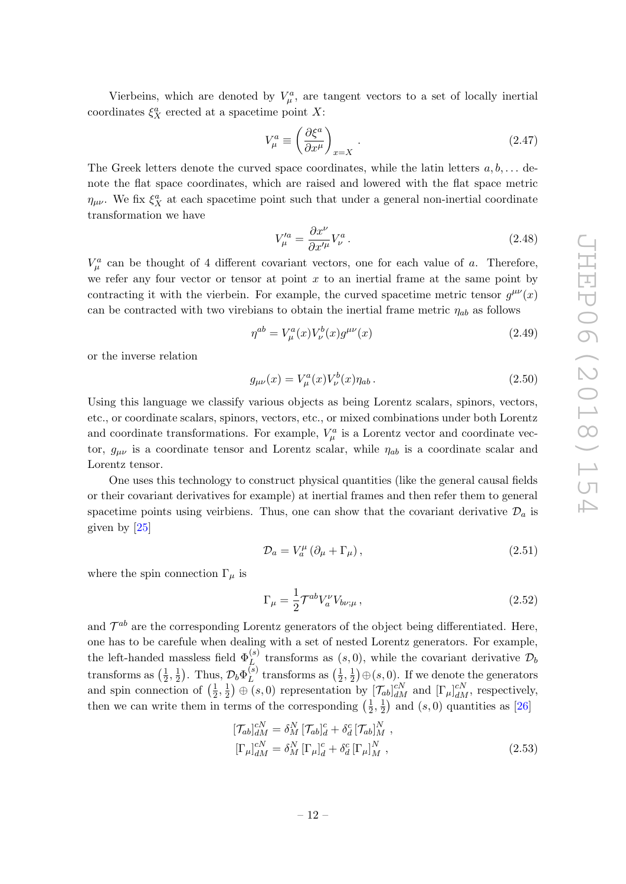Vierbeins, which are denoted by  $V_{\mu}^{a}$ , are tangent vectors to a set of locally inertial coordinates  $\xi_X^a$  erected at a spacetime point X:

$$
V_{\mu}^{a} \equiv \left(\frac{\partial \xi^{a}}{\partial x^{\mu}}\right)_{x=X}.
$$
 (2.47)

The Greek letters denote the curved space coordinates, while the latin letters  $a, b, \ldots$  denote the flat space coordinates, which are raised and lowered with the flat space metric  $\eta_{\mu\nu}$ . We fix  $\xi_X^a$  at each spacetime point such that under a general non-inertial coordinate transformation we have

$$
V_{\mu}^{\prime a} = \frac{\partial x^{\nu}}{\partial x^{\prime \mu}} V_{\nu}^{a}.
$$
\n(2.48)

 $V^a_\mu$  can be thought of 4 different covariant vectors, one for each value of a. Therefore, we refer any four vector or tensor at point  $x$  to an inertial frame at the same point by contracting it with the vierbein. For example, the curved spacetime metric tensor  $g^{\mu\nu}(x)$ can be contracted with two virebians to obtain the inertial frame metric  $\eta_{ab}$  as follows

$$
\eta^{ab} = V_{\mu}^{a}(x)V_{\nu}^{b}(x)g^{\mu\nu}(x)
$$
\n(2.49)

or the inverse relation

$$
g_{\mu\nu}(x) = V^a_{\mu}(x)V^b_{\nu}(x)\eta_{ab}.
$$
\n(2.50)

Using this language we classify various objects as being Lorentz scalars, spinors, vectors, etc., or coordinate scalars, spinors, vectors, etc., or mixed combinations under both Lorentz and coordinate transformations. For example,  $V_{\mu}^{a}$  is a Lorentz vector and coordinate vector,  $g_{\mu\nu}$  is a coordinate tensor and Lorentz scalar, while  $\eta_{ab}$  is a coordinate scalar and Lorentz tensor.

One uses this technology to construct physical quantities (like the general causal fields or their covariant derivatives for example) at inertial frames and then refer them to general spacetime points using veirbiens. Thus, one can show that the covariant derivative  $\mathcal{D}_a$  is given by [\[25\]](#page-33-17)

$$
\mathcal{D}_a = V_a^{\mu} (\partial_{\mu} + \Gamma_{\mu}), \qquad (2.51)
$$

where the spin connection  $\Gamma_{\mu}$  is

$$
\Gamma_{\mu} = \frac{1}{2} \mathcal{T}^{ab} V_a^{\nu} V_{b\nu;\mu} , \qquad (2.52)
$$

and  $\mathcal{T}^{ab}$  are the corresponding Lorentz generators of the object being differentiated. Here, one has to be carefule when dealing with a set of nested Lorentz generators. For example, the left-handed massless field  $\Phi_L^{(s)}$  transforms as  $(s,0)$ , while the covariant derivative  $\mathcal{D}_t$ transforms as  $\left(\frac{1}{2}\right)$  $\frac{1}{2}, \frac{1}{2}$  $(\frac{1}{2})$ . Thus,  $\mathcal{D}_b \Phi_L^{(s)}$  $_{L}^{(s)}$  transforms as  $\left(\frac{1}{2}\right)$  $\frac{1}{2}, \frac{1}{2}$  $(\frac{1}{2}) \oplus (s, 0)$ . If we denote the generators and spin connection of  $\left(\frac{1}{2}\right)$  $\frac{1}{2}, \frac{1}{2}$  $(\frac{1}{2}) \oplus (s, 0)$  representation by  $[\mathcal{T}_{ab}]_{dM}^{cN}$  and  $[\Gamma_{\mu}]_{dM}^{cN}$ , respectively, then we can write them in terms of the corresponding  $\left(\frac{1}{2}\right)$  $\frac{1}{2}, \frac{1}{2}$  $\frac{1}{2}$ ) and  $(s, 0)$  quantities as [\[26\]](#page-34-0)

$$
\begin{aligned} [\mathcal{T}_{ab}]_{dM}^{cN} &= \delta_M^N \left[ \mathcal{T}_{ab} \right]_d^c + \delta_d^c \left[ \mathcal{T}_{ab} \right]_M^N, \\ [\Gamma_\mu]_{dM}^{cN} &= \delta_M^N \left[ \Gamma_\mu \right]_d^c + \delta_d^c \left[ \Gamma_\mu \right]_M^N, \end{aligned} \tag{2.53}
$$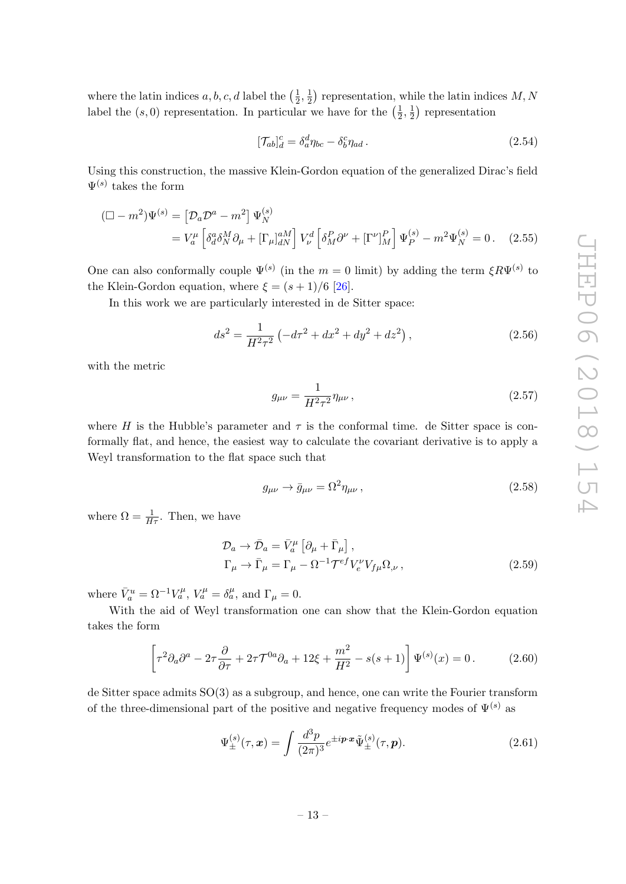where the latin indices  $a, b, c, d$  label the  $\left(\frac{1}{2}\right)$  $\frac{1}{2}, \frac{1}{2}$  $(\frac{1}{2})$  representation, while the latin indices M, N label the  $(s, 0)$  representation. In particular we have for the  $\left(\frac{1}{2}\right)$  $\frac{1}{2}, \frac{1}{2}$  $(\frac{1}{2})$  representation

$$
[\mathcal{T}_{ab}]_d^c = \delta_a^d \eta_{bc} - \delta_b^c \eta_{ad} \,. \tag{2.54}
$$

Using this construction, the massive Klein-Gordon equation of the generalized Dirac's field  $\Psi^{(s)}$  takes the form

$$
\begin{aligned} (\square - m^2) \Psi^{(s)} &= \left[ \mathcal{D}_a \mathcal{D}^a - m^2 \right] \Psi_N^{(s)} \\ &= V_a^{\mu} \left[ \delta_d^a \delta_N^M \partial_{\mu} + \left[ \Gamma_{\mu} \right]_{dN}^{aM} \right] V_{\nu}^d \left[ \delta_M^P \partial^{\nu} + \left[ \Gamma^{\nu} \right]_M^P \right] \Psi_P^{(s)} - m^2 \Psi_N^{(s)} = 0 \,. \end{aligned} \tag{2.55}
$$

One can also conformally couple  $\Psi^{(s)}$  (in the  $m=0$  limit) by adding the term  $\xi R \Psi^{(s)}$  to the Klein-Gordon equation, where  $\xi = (s+1)/6$  [\[26\]](#page-34-0).

In this work we are particularly interested in de Sitter space:

$$
ds^{2} = \frac{1}{H^{2}\tau^{2}} \left( -d\tau^{2} + dx^{2} + dy^{2} + dz^{2} \right),
$$
 (2.56)

with the metric

$$
g_{\mu\nu} = \frac{1}{H^2 \tau^2} \eta_{\mu\nu} , \qquad (2.57)
$$

where H is the Hubble's parameter and  $\tau$  is the conformal time. de Sitter space is conformally flat, and hence, the easiest way to calculate the covariant derivative is to apply a Weyl transformation to the flat space such that

<span id="page-14-1"></span>
$$
g_{\mu\nu} \to \bar{g}_{\mu\nu} = \Omega^2 \eta_{\mu\nu} , \qquad (2.58)
$$

where  $\Omega = \frac{1}{H\tau}$ . Then, we have

$$
\mathcal{D}_a \to \bar{\mathcal{D}}_a = \bar{V}_a^{\mu} \left[ \partial_{\mu} + \bar{\Gamma}_{\mu} \right],
$$
  
\n
$$
\Gamma_{\mu} \to \bar{\Gamma}_{\mu} = \Gamma_{\mu} - \Omega^{-1} \mathcal{T}^{ef} V_e^{\nu} V_{f\mu} \Omega_{,\nu},
$$
\n(2.59)

where  $\bar{V}_a^u = \Omega^{-1} V_a^{\mu}$ ,  $V_a^{\mu} = \delta_a^{\mu}$ , and  $\Gamma_{\mu} = 0$ .

With the aid of Weyl transformation one can show that the Klein-Gordon equation takes the form

$$
\left[\tau^2 \partial_a \partial^a - 2\tau \frac{\partial}{\partial \tau} + 2\tau \mathcal{T}^{0a} \partial_a + 12\xi + \frac{m^2}{H^2} - s(s+1)\right] \Psi^{(s)}(x) = 0. \tag{2.60}
$$

de Sitter space admits SO(3) as a subgroup, and hence, one can write the Fourier transform of the three-dimensional part of the positive and negative frequency modes of  $\Psi^{(s)}$  as

<span id="page-14-0"></span>
$$
\Psi_{\pm}^{(s)}(\tau,\mathbf{x}) = \int \frac{d^3p}{(2\pi)^3} e^{\pm i\mathbf{p}\cdot\mathbf{x}} \tilde{\Psi}_{\pm}^{(s)}(\tau,\mathbf{p}). \tag{2.61}
$$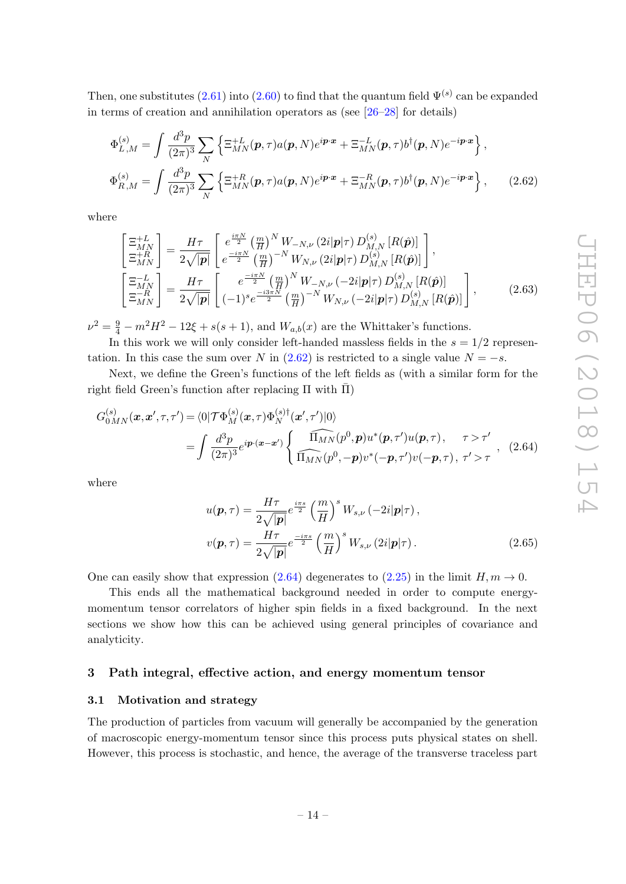Then, one substitutes  $(2.61)$  into  $(2.60)$  to find that the quantum field  $\Psi^{(s)}$  can be expanded in terms of creation and annihilation operators as (see [\[26–](#page-34-0)[28\]](#page-34-1) for details)

$$
\Phi_{L,M}^{(s)} = \int \frac{d^3 p}{(2\pi)^3} \sum_N \left\{ \Xi_{MN}^{+L}(\boldsymbol{p}, \tau) a(\boldsymbol{p}, N) e^{i\boldsymbol{p}\cdot\boldsymbol{x}} + \Xi_{MN}^{-L}(\boldsymbol{p}, \tau) b^{\dagger}(\boldsymbol{p}, N) e^{-i\boldsymbol{p}\cdot\boldsymbol{x}} \right\},
$$
\n
$$
\Phi_{R,M}^{(s)} = \int \frac{d^3 p}{(2\pi)^3} \sum_N \left\{ \Xi_{MN}^{+R}(\boldsymbol{p}, \tau) a(\boldsymbol{p}, N) e^{i\boldsymbol{p}\cdot\boldsymbol{x}} + \Xi_{MN}^{-R}(\boldsymbol{p}, \tau) b^{\dagger}(\boldsymbol{p}, N) e^{-i\boldsymbol{p}\cdot\boldsymbol{x}} \right\},
$$
\n(2.62)

where

<span id="page-15-2"></span>
$$
\begin{bmatrix}\n\Xi_{MN}^{+L} \\
\Xi_{MN}^{+} \\
\Xi_{MN}^{+}\n\end{bmatrix} = \frac{H\tau}{2\sqrt{|\mathbf{p}|}} \begin{bmatrix}\ne^{\frac{i\pi N}{2}} \left(\frac{m}{H}\right)^N W_{-N,\nu} (2i|\mathbf{p}|\tau) D_{M,N}^{(s)} [R(\hat{\mathbf{p}})] \\
e^{-\frac{i\pi N}{2}} \left(\frac{m}{H}\right)^{-N} W_{N,\nu} (2i|\mathbf{p}|\tau) D_{M,N}^{(s)} [R(\hat{\mathbf{p}})]\n\end{bmatrix},
$$
\n
$$
\begin{bmatrix}\n\Xi_{MN}^{-L} \\
\Xi_{MN}^{-R}\n\end{bmatrix} = \frac{H\tau}{2\sqrt{|\mathbf{p}|}} \begin{bmatrix}\ne^{\frac{-i\pi N}{2}} \left(\frac{m}{H}\right)^N W_{-N,\nu} (-2i|\mathbf{p}|\tau) D_{M,N}^{(s)} [R(\hat{\mathbf{p}})] \\
(-1)^s e^{\frac{-i3\pi N}{2}} \left(\frac{m}{H}\right)^{-N} W_{N,\nu} (-2i|\mathbf{p}|\tau) D_{M,N}^{(s)} [R(\hat{\mathbf{p}})]\n\end{bmatrix},
$$
\n(2.63)

 $\nu^2 = \frac{9}{4} - m^2 H^2 - 12\xi + s(s+1)$ , and  $W_{a,b}(x)$  are the Whittaker's functions.

In this work we will only consider left-handed massless fields in the  $s = 1/2$  representation. In this case the sum over N in  $(2.62)$  is restricted to a single value  $N = -s$ .

Next, we define the Green's functions of the left fields as (with a similar form for the right field Green's function after replacing  $\Pi$  with  $\overline{\Pi}$ )

$$
G_{0MN}^{(s)}(\boldsymbol{x},\boldsymbol{x}',\tau,\tau') = \langle 0|\mathcal{T}\Phi_M^{(s)}(\boldsymbol{x},\tau)\Phi_N^{(s)\dagger}(\boldsymbol{x}',\tau')|0\rangle
$$
  
= 
$$
\int \frac{d^3p}{(2\pi)^3} e^{ip\cdot(\boldsymbol{x}-\boldsymbol{x}')} \begin{cases} \widehat{\Pi_{MN}}(p^0,\boldsymbol{p})u^*(\boldsymbol{p},\tau')u(\boldsymbol{p},\tau), & \tau > \tau' \\ \widehat{\Pi_{MN}}(p^0,-\boldsymbol{p})v^*(-\boldsymbol{p},\tau')v(-\boldsymbol{p},\tau), & \tau' > \tau \end{cases}
$$
 (2.64)

where

<span id="page-15-4"></span><span id="page-15-3"></span>
$$
u(\mathbf{p},\tau) = \frac{H\tau}{2\sqrt{|\mathbf{p}|}} e^{\frac{i\pi s}{2}} \left(\frac{m}{H}\right)^s W_{s,\nu} \left(-2i|\mathbf{p}|\tau\right),
$$
  

$$
v(\mathbf{p},\tau) = \frac{H\tau}{2\sqrt{|\mathbf{p}|}} e^{\frac{-i\pi s}{2}} \left(\frac{m}{H}\right)^s W_{s,\nu} \left(2i|\mathbf{p}|\tau\right).
$$
 (2.65)

One can easily show that expression [\(2.64\)](#page-15-3) degenerates to [\(2.25\)](#page-9-1) in the limit  $H, m \to 0$ .

This ends all the mathematical background needed in order to compute energymomentum tensor correlators of higher spin fields in a fixed background. In the next sections we show how this can be achieved using general principles of covariance and analyticity.

#### <span id="page-15-0"></span>3 Path integral, effective action, and energy momentum tensor

#### <span id="page-15-1"></span>3.1 Motivation and strategy

The production of particles from vacuum will generally be accompanied by the generation of macroscopic energy-momentum tensor since this process puts physical states on shell. However, this process is stochastic, and hence, the average of the transverse traceless part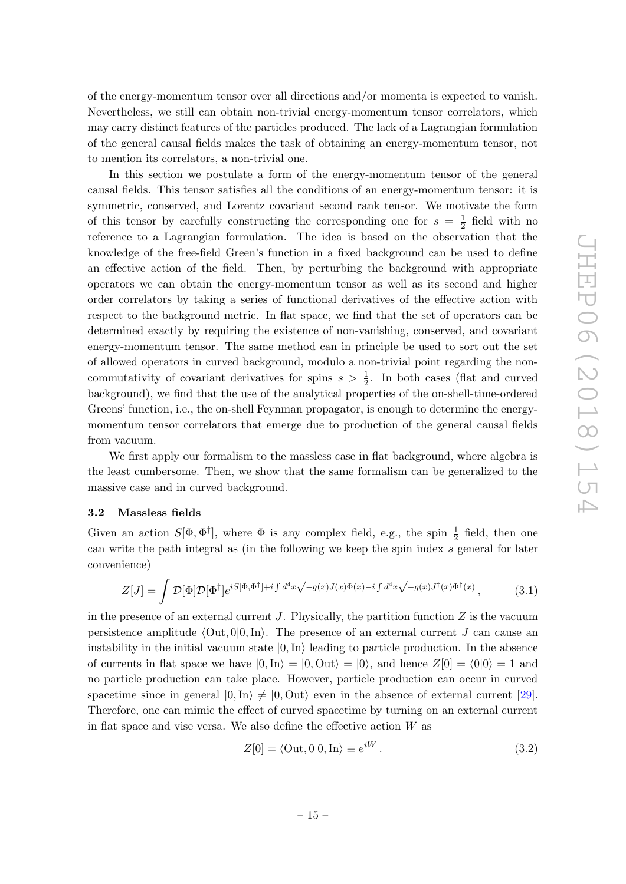of the energy-momentum tensor over all directions and/or momenta is expected to vanish. Nevertheless, we still can obtain non-trivial energy-momentum tensor correlators, which may carry distinct features of the particles produced. The lack of a Lagrangian formulation of the general causal fields makes the task of obtaining an energy-momentum tensor, not to mention its correlators, a non-trivial one.

In this section we postulate a form of the energy-momentum tensor of the general causal fields. This tensor satisfies all the conditions of an energy-momentum tensor: it is symmetric, conserved, and Lorentz covariant second rank tensor. We motivate the form of this tensor by carefully constructing the corresponding one for  $s = \frac{1}{2}$  $rac{1}{2}$  field with no reference to a Lagrangian formulation. The idea is based on the observation that the knowledge of the free-field Green's function in a fixed background can be used to define an effective action of the field. Then, by perturbing the background with appropriate operators we can obtain the energy-momentum tensor as well as its second and higher order correlators by taking a series of functional derivatives of the effective action with respect to the background metric. In flat space, we find that the set of operators can be determined exactly by requiring the existence of non-vanishing, conserved, and covariant energy-momentum tensor. The same method can in principle be used to sort out the set of allowed operators in curved background, modulo a non-trivial point regarding the noncommutativity of covariant derivatives for spins  $s > \frac{1}{2}$ . In both cases (flat and curved background), we find that the use of the analytical properties of the on-shell-time-ordered Greens' function, i.e., the on-shell Feynman propagator, is enough to determine the energymomentum tensor correlators that emerge due to production of the general causal fields from vacuum.

We first apply our formalism to the massless case in flat background, where algebra is the least cumbersome. Then, we show that the same formalism can be generalized to the massive case and in curved background.

#### <span id="page-16-0"></span>3.2 Massless fields

Given an action  $S[\Phi, \Phi^{\dagger}]$ , where  $\Phi$  is any complex field, e.g., the spin  $\frac{1}{2}$  field, then one can write the path integral as (in the following we keep the spin index s general for later convenience)

$$
Z[J] = \int \mathcal{D}[\Phi] \mathcal{D}[\Phi^{\dagger}] e^{iS[\Phi,\Phi^{\dagger}] + i \int d^4x \sqrt{-g(x)} J(x) \Phi(x) - i \int d^4x \sqrt{-g(x)} J^{\dagger}(x) \Phi^{\dagger}(x)}, \tag{3.1}
$$

in the presence of an external current  $J$ . Physically, the partition function  $Z$  is the vacuum persistence amplitude  $\langle Out, 0|0, \text{In} \rangle$ . The presence of an external current J can cause an instability in the initial vacuum state  $|0, \text{In}\rangle$  leading to particle production. In the absence of currents in flat space we have  $|0, \text{In}\rangle = |0, \text{Out}\rangle = |0\rangle$ , and hence  $Z[0] = \langle 0|0\rangle = 1$  and no particle production can take place. However, particle production can occur in curved spacetime since in general  $|0,\text{In}\rangle \neq |0, \text{Out}\rangle$  even in the absence of external current [\[29\]](#page-34-2). Therefore, one can mimic the effect of curved spacetime by turning on an external current in flat space and vise versa. We also define the effective action  $W$  as

<span id="page-16-2"></span><span id="page-16-1"></span>
$$
Z[0] = \langle \text{Out}, 0|0, \text{In} \rangle \equiv e^{iW} . \tag{3.2}
$$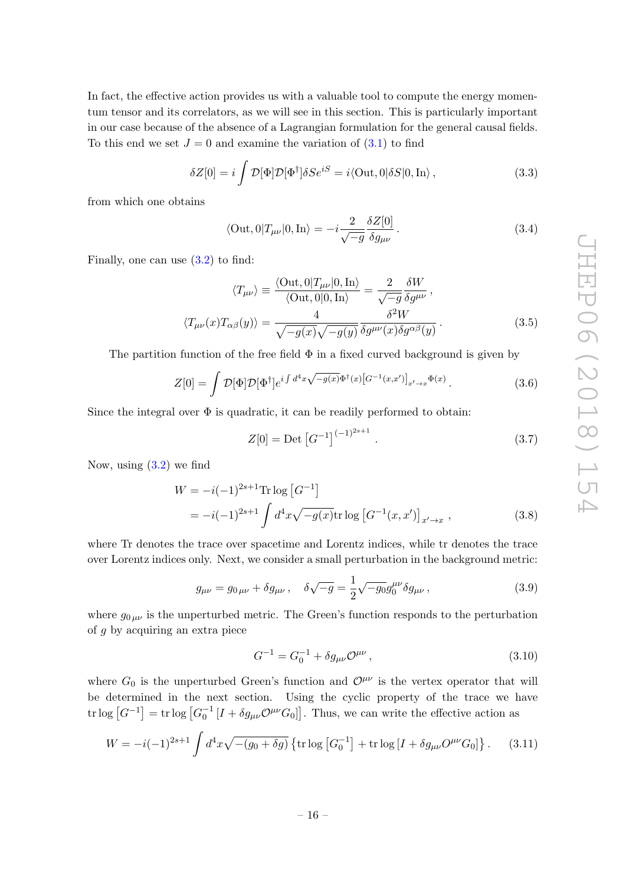In fact, the effective action provides us with a valuable tool to compute the energy momentum tensor and its correlators, as we will see in this section. This is particularly important in our case because of the absence of a Lagrangian formulation for the general causal fields. To this end we set  $J = 0$  and examine the variation of  $(3.1)$  to find

$$
\delta Z[0] = i \int \mathcal{D}[\Phi] \mathcal{D}[\Phi^{\dagger}] \delta S e^{iS} = i \langle \text{Out}, 0 | \delta S | 0, \text{In} \rangle , \qquad (3.3)
$$

from which one obtains

$$
\langle \text{Out}, 0 | T_{\mu\nu} | 0, \text{In} \rangle = -i \frac{2}{\sqrt{-g}} \frac{\delta Z[0]}{\delta g_{\mu\nu}}.
$$
 (3.4)

Finally, one can use [\(3.2\)](#page-16-2) to find:

$$
\langle T_{\mu\nu} \rangle \equiv \frac{\langle \text{Out}, 0 | T_{\mu\nu} | 0, \text{In} \rangle}{\langle \text{Out}, 0 | 0, \text{In} \rangle} = \frac{2}{\sqrt{-g}} \frac{\delta W}{\delta g^{\mu\nu}},
$$

$$
\langle T_{\mu\nu}(x) T_{\alpha\beta}(y) \rangle = \frac{4}{\sqrt{-g(x)} \sqrt{-g(y)}} \frac{\delta^2 W}{\delta g^{\mu\nu}(x) \delta g^{\alpha\beta}(y)}.
$$
(3.5)

The partition function of the free field  $\Phi$  in a fixed curved background is given by

$$
Z[0] = \int \mathcal{D}[\Phi] \mathcal{D}[\Phi^{\dagger}] e^{i \int d^4 x \sqrt{-g(x)} \Phi^{\dagger}(x) \left[G^{-1}(x, x')\right]_{x' \to x} \Phi(x)}.
$$
 (3.6)

Since the integral over  $\Phi$  is quadratic, it can be readily performed to obtain:

<span id="page-17-1"></span><span id="page-17-0"></span>
$$
Z[0] = \text{Det}\left[G^{-1}\right]^{(-1)^{2s+1}}.
$$
\n(3.7)

Now, using  $(3.2)$  we find

$$
W = -i(-1)^{2s+1} \text{Tr} \log \left[ G^{-1} \right]
$$
  
=  $-i(-1)^{2s+1} \int d^4x \sqrt{-g(x)} \text{tr} \log \left[ G^{-1}(x, x') \right]_{x' \to x},$  (3.8)

where Tr denotes the trace over spacetime and Lorentz indices, while tr denotes the trace over Lorentz indices only. Next, we consider a small perturbation in the background metric:

$$
g_{\mu\nu} = g_{0\,\mu\nu} + \delta g_{\mu\nu} \,, \quad \delta \sqrt{-g} = \frac{1}{2} \sqrt{-g_0} g_0^{\mu\nu} \delta g_{\mu\nu} \,, \tag{3.9}
$$

where  $g_{0\mu\nu}$  is the unperturbed metric. The Green's function responds to the perturbation of g by acquiring an extra piece

$$
G^{-1} = G_0^{-1} + \delta g_{\mu\nu} \mathcal{O}^{\mu\nu} \,, \tag{3.10}
$$

where  $G_0$  is the unperturbed Green's function and  $\mathcal{O}^{\mu\nu}$  is the vertex operator that will be determined in the next section. Using the cyclic property of the trace we have tr log  $[G^{-1}] = \text{tr} \log \left[G_0^{-1} \left[I + \delta g_{\mu\nu} \mathcal{O}^{\mu\nu} G_0\right]\right]$ . Thus, we can write the effective action as

$$
W = -i(-1)^{2s+1} \int d^4x \sqrt{-(g_0 + \delta g)} \left\{ \text{tr} \log \left[ G_0^{-1} \right] + \text{tr} \log \left[ I + \delta g_{\mu\nu} O^{\mu\nu} G_0 \right] \right\}.
$$
 (3.11)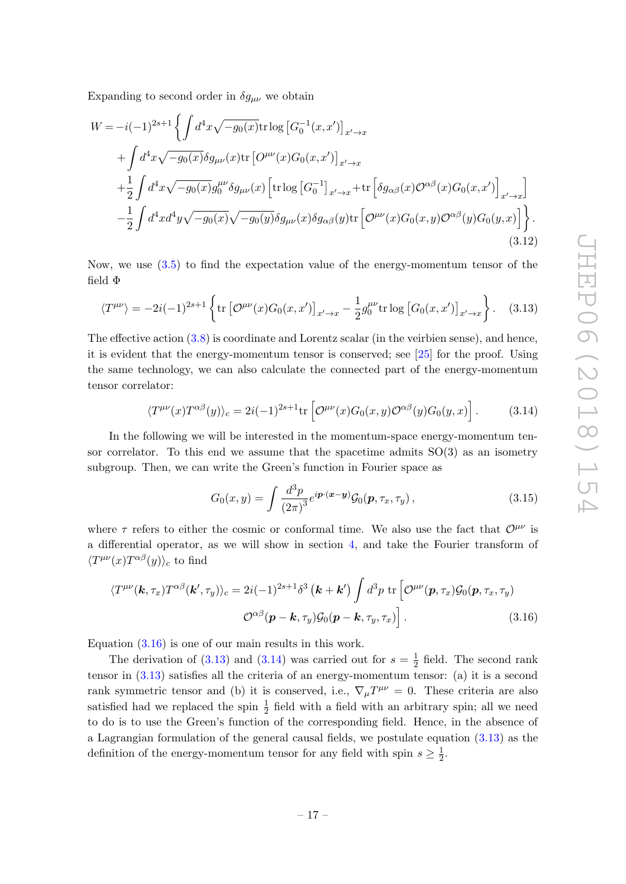Expanding to second order in  $\delta g_{\mu\nu}$  we obtain

$$
W = -i(-1)^{2s+1} \left\{ \int d^4x \sqrt{-g_0(x)} \text{tr} \log \left[ G_0^{-1}(x, x') \right]_{x' \to x} \right.+ \int d^4x \sqrt{-g_0(x)} \delta g_{\mu\nu}(x) \text{tr} \left[ O^{\mu\nu}(x) G_0(x, x') \right]_{x' \to x} + \frac{1}{2} \int d^4x \sqrt{-g_0(x)} g_0^{\mu\nu} \delta g_{\mu\nu}(x) \left[ \text{tr} \log \left[ G_0^{-1} \right]_{x' \to x} + \text{tr} \left[ \delta g_{\alpha\beta}(x) O^{\alpha\beta}(x) G_0(x, x') \right]_{x' \to x} \right] - \frac{1}{2} \int d^4x d^4y \sqrt{-g_0(x)} \sqrt{-g_0(y)} \delta g_{\mu\nu}(x) \delta g_{\alpha\beta}(y) \text{tr} \left[ O^{\mu\nu}(x) G_0(x, y) O^{\alpha\beta}(y) G_0(y, x) \right] \right\}.
$$
\n(3.12)

Now, we use [\(3.5\)](#page-17-0) to find the expectation value of the energy-momentum tensor of the field Φ

$$
\langle T^{\mu\nu} \rangle = -2i(-1)^{2s+1} \left\{ \text{tr} \left[ \mathcal{O}^{\mu\nu}(x) G_0(x, x') \right]_{x' \to x} - \frac{1}{2} g_0^{\mu\nu} \text{tr} \log \left[ G_0(x, x') \right]_{x' \to x} \right\}. \tag{3.13}
$$

The effective action [\(3.8\)](#page-17-1) is coordinate and Lorentz scalar (in the veirbien sense), and hence, it is evident that the energy-momentum tensor is conserved; see [\[25\]](#page-33-17) for the proof. Using the same technology, we can also calculate the connected part of the energy-momentum tensor correlator:

$$
\langle T^{\mu\nu}(x)T^{\alpha\beta}(y)\rangle_c = 2i(-1)^{2s+1}\text{tr}\left[\mathcal{O}^{\mu\nu}(x)G_0(x,y)\mathcal{O}^{\alpha\beta}(y)G_0(y,x)\right].\tag{3.14}
$$

In the following we will be interested in the momentum-space energy-momentum tensor correlator. To this end we assume that the spacetime admits  $SO(3)$  as an isometry subgroup. Then, we can write the Green's function in Fourier space as

<span id="page-18-2"></span><span id="page-18-1"></span><span id="page-18-0"></span>
$$
G_0(x,y) = \int \frac{d^3p}{\left(2\pi\right)^3} e^{i\boldsymbol{p}\cdot(\boldsymbol{x}-\boldsymbol{y})} \mathcal{G}_0(\boldsymbol{p},\tau_x,\tau_y) \,, \tag{3.15}
$$

where  $\tau$  refers to either the cosmic or conformal time. We also use the fact that  $\mathcal{O}^{\mu\nu}$  is a differential operator, as we will show in section [4,](#page-19-1) and take the Fourier transform of  $\langle T^{\mu\nu}(x) T^{\alpha\beta}(y) \rangle_c$  to find

$$
\langle T^{\mu\nu}(\mathbf{k},\tau_x) T^{\alpha\beta}(\mathbf{k}',\tau_y) \rangle_c = 2i(-1)^{2s+1} \delta^3 \left( \mathbf{k} + \mathbf{k}' \right) \int d^3p \, \text{tr} \left[ \mathcal{O}^{\mu\nu}(\mathbf{p},\tau_x) \mathcal{G}_0(\mathbf{p},\tau_x,\tau_y) \right] \n\mathcal{O}^{\alpha\beta}(\mathbf{p}-\mathbf{k},\tau_y) \mathcal{G}_0(\mathbf{p}-\mathbf{k},\tau_y,\tau_x) \bigg].
$$
\n(3.16)

Equation  $(3.16)$  is one of our main results in this work.

The derivation of [\(3.13\)](#page-18-1) and [\(3.14\)](#page-18-2) was carried out for  $s=\frac{1}{2}$  $\frac{1}{2}$  field. The second rank tensor in [\(3.13\)](#page-18-1) satisfies all the criteria of an energy-momentum tensor: (a) it is a second rank symmetric tensor and (b) it is conserved, i.e.,  $\nabla_{\mu}T^{\mu\nu} = 0$ . These criteria are also satisfied had we replaced the spin  $\frac{1}{2}$  field with a field with an arbitrary spin; all we need to do is to use the Green's function of the corresponding field. Hence, in the absence of a Lagrangian formulation of the general causal fields, we postulate equation [\(3.13\)](#page-18-1) as the definition of the energy-momentum tensor for any field with spin  $s \geq \frac{1}{2}$  $rac{1}{2}$ .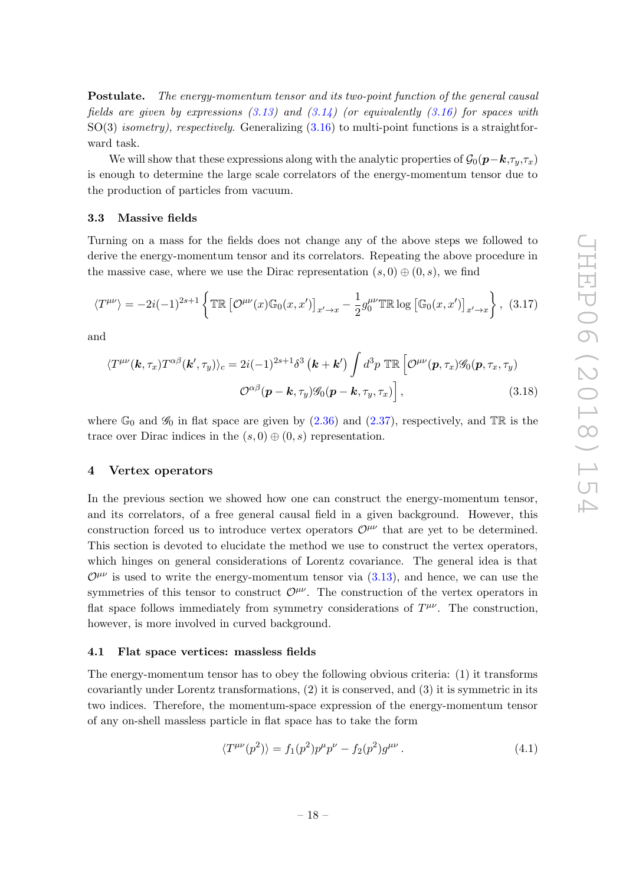Postulate. The energy-momentum tensor and its two-point function of the general causal fields are given by expressions  $(3.13)$  and  $(3.14)$  (or equivalently  $(3.16)$  for spaces with  $SO(3)$  *isometry), respectively.* Generalizing  $(3.16)$  to multi-point functions is a straightforward task.

We will show that these expressions along with the analytic properties of  $\mathcal{G}_0(\mathbf{p}-\mathbf{k},\tau_u,\tau_x)$ is enough to determine the large scale correlators of the energy-momentum tensor due to the production of particles from vacuum.

#### <span id="page-19-0"></span>3.3 Massive fields

Turning on a mass for the fields does not change any of the above steps we followed to derive the energy-momentum tensor and its correlators. Repeating the above procedure in the massive case, where we use the Dirac representation  $(s, 0) \oplus (0, s)$ , we find

<span id="page-19-3"></span>
$$
\langle T^{\mu\nu}\rangle = -2i(-1)^{2s+1}\left\{\mathbb{TR}\left[\mathcal{O}^{\mu\nu}(x)\mathbb{G}_0(x,x')\right]_{x'\to x} - \frac{1}{2}g_0^{\mu\nu}\mathbb{TR}\log\left[\mathbb{G}_0(x,x')\right]_{x'\to x}\right\},\tag{3.17}
$$

and

<span id="page-19-4"></span>
$$
\langle T^{\mu\nu}(\mathbf{k},\tau_x) T^{\alpha\beta}(\mathbf{k}',\tau_y) \rangle_c = 2i(-1)^{2s+1} \delta^3\left(\mathbf{k} + \mathbf{k}'\right) \int d^3p \text{ TR} \left[ \mathcal{O}^{\mu\nu}(\mathbf{p},\tau_x) \mathcal{G}_0(\mathbf{p},\tau_x,\tau_y) \right] \n\mathcal{O}^{\alpha\beta}(\mathbf{p} - \mathbf{k},\tau_y) \mathcal{G}_0(\mathbf{p} - \mathbf{k},\tau_y,\tau_x) \bigg],
$$
\n(3.18)

where  $\mathbb{G}_0$  and  $\mathscr{G}_0$  in flat space are given by [\(2.36\)](#page-11-2) and [\(2.37\)](#page-11-3), respectively, and TR is the trace over Dirac indices in the  $(s, 0) \oplus (0, s)$  representation.

#### <span id="page-19-1"></span>4 Vertex operators

In the previous section we showed how one can construct the energy-momentum tensor, and its correlators, of a free general causal field in a given background. However, this construction forced us to introduce vertex operators  $\mathcal{O}^{\mu\nu}$  that are yet to be determined. This section is devoted to elucidate the method we use to construct the vertex operators, which hinges on general considerations of Lorentz covariance. The general idea is that  $\mathcal{O}^{\mu\nu}$  is used to write the energy-momentum tensor via [\(3.13\)](#page-18-1), and hence, we can use the symmetries of this tensor to construct  $\mathcal{O}^{\mu\nu}$ . The construction of the vertex operators in flat space follows immediately from symmetry considerations of  $T^{\mu\nu}$ . The construction, however, is more involved in curved background.

#### <span id="page-19-2"></span>4.1 Flat space vertices: massless fields

The energy-momentum tensor has to obey the following obvious criteria: (1) it transforms covariantly under Lorentz transformations, (2) it is conserved, and (3) it is symmetric in its two indices. Therefore, the momentum-space expression of the energy-momentum tensor of any on-shell massless particle in flat space has to take the form

$$
\langle T^{\mu\nu}(p^2) \rangle = f_1(p^2) p^{\mu} p^{\nu} - f_2(p^2) g^{\mu\nu} . \tag{4.1}
$$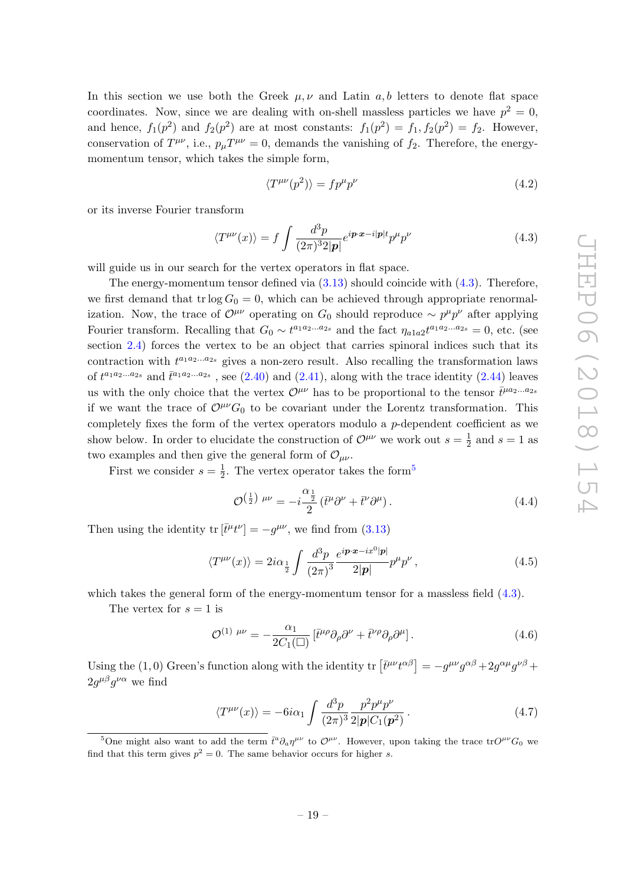In this section we use both the Greek  $\mu, \nu$  and Latin a, b letters to denote flat space coordinates. Now, since we are dealing with on-shell massless particles we have  $p^2 = 0$ , and hence,  $f_1(p^2)$  and  $f_2(p^2)$  are at most constants:  $f_1(p^2) = f_1, f_2(p^2) = f_2$ . However, conservation of  $T^{\mu\nu}$ , i.e.,  $p_{\mu}T^{\mu\nu} = 0$ , demands the vanishing of  $f_2$ . Therefore, the energymomentum tensor, which takes the simple form,

<span id="page-20-0"></span>
$$
\langle T^{\mu\nu}(p^2) \rangle = f p^{\mu} p^{\nu} \tag{4.2}
$$

or its inverse Fourier transform

$$
\langle T^{\mu\nu}(x) \rangle = f \int \frac{d^3 p}{(2\pi)^3 2|\mathbf{p}|} e^{i \mathbf{p} \cdot \mathbf{x} - i|\mathbf{p}| t} p^{\mu} p^{\nu}
$$
(4.3)

will guide us in our search for the vertex operators in flat space.

The energy-momentum tensor defined via  $(3.13)$  should coincide with  $(4.3)$ . Therefore, we first demand that tr log  $G_0 = 0$ , which can be achieved through appropriate renormalization. Now, the trace of  $\mathcal{O}^{\mu\nu}$  operating on  $G_0$  should reproduce  $\sim p^{\mu}p^{\nu}$  after applying Fourier transform. Recalling that  $G_0 \sim t^{a_1 a_2 ... a_{2s}}$  and the fact  $\eta_{a1a2} t^{a_1 a_2 ... a_{2s}} = 0$ , etc. (see section [2.4\)](#page-11-0) forces the vertex to be an object that carries spinoral indices such that its contraction with  $t^{a_1 a_2 \ldots a_{2s}}$  gives a non-zero result. Also recalling the transformation laws of  $t^{a_1a_2...a_{2s}}$  and  $\bar{t}^{a_1a_2...a_{2s}}$ , see  $(2.40)$  and  $(2.41)$ , along with the trace identity  $(2.44)$  leaves us with the only choice that the vertex  $\mathcal{O}^{\mu\nu}$  has to be proportional to the tensor  $\bar{t}^{\mu a_2...a_{2s}}$ if we want the trace of  $\mathcal{O}^{\mu\nu}G_0$  to be covariant under the Lorentz transformation. This completely fixes the form of the vertex operators modulo a p-dependent coefficient as we show below. In order to elucidate the construction of  $\mathcal{O}^{\mu\nu}$  we work out  $s=\frac{1}{2}$  $\frac{1}{2}$  and  $s = 1$  as two examples and then give the general form of  $\mathcal{O}_{\mu\nu}$ .

First we consider  $s=\frac{1}{2}$  $\frac{1}{2}$ . The vertex operator takes the form<sup>[5](#page-20-1)</sup>

$$
\mathcal{O}^{\left(\frac{1}{2}\right)\mu\nu} = -i\frac{\alpha_{\frac{1}{2}}}{2}\left(\bar{t}^{\mu}\partial^{\nu} + \bar{t}^{\nu}\partial^{\mu}\right). \tag{4.4}
$$

Then using the identity  $\text{tr}[\bar{t}^{\mu}t^{\nu}] = -g^{\mu\nu}$ , we find from [\(3.13\)](#page-18-1)

$$
\langle T^{\mu\nu}(x)\rangle = 2i\alpha_{\frac{1}{2}} \int \frac{d^3p}{(2\pi)^3} \frac{e^{i\boldsymbol{p}\cdot\boldsymbol{x} - ix^0|\boldsymbol{p}|}}{2|\boldsymbol{p}|} p^{\mu}p^{\nu},\tag{4.5}
$$

which takes the general form of the energy-momentum tensor for a massless field  $(4.3)$ .

The vertex for  $s = 1$  is

<span id="page-20-2"></span>
$$
\mathcal{O}^{(1)\ \mu\nu} = -\frac{\alpha_1}{2C_1(\square)} \left[ \bar{t}^{\mu\rho} \partial_\rho \partial^\nu + \bar{t}^{\nu\rho} \partial_\rho \partial^\mu \right]. \tag{4.6}
$$

Using the (1,0) Green's function along with the identity  $\text{tr}\left[\bar{t}^{\mu\nu}t^{\alpha\beta}\right] = -g^{\mu\nu}g^{\alpha\beta} + 2g^{\alpha\mu}g^{\nu\beta} +$  $2g^{\mu\beta}g^{\nu\alpha}$  we find

$$
\langle T^{\mu\nu}(x) \rangle = -6i\alpha_1 \int \frac{d^3p}{(2\pi)^3} \frac{p^2 p^\mu p^\nu}{2|\mathbf{p}| C_1(\mathbf{p}^2)}.
$$
\n(4.7)

<span id="page-20-1"></span><sup>&</sup>lt;sup>5</sup>One might also want to add the term  $\bar{t}^a \partial_a \eta^{\mu\nu}$  to  $\mathcal{O}^{\mu\nu}$ . However, upon taking the trace tr $O^{\mu\nu}G_0$  we find that this term gives  $p^2 = 0$ . The same behavior occurs for higher s.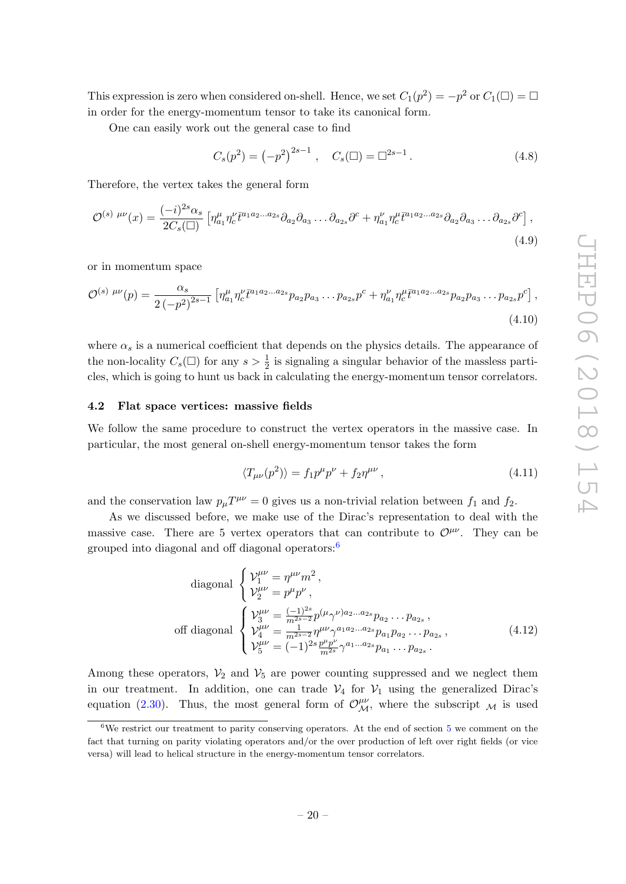This expression is zero when considered on-shell. Hence, we set  $C_1(p^2) = -p^2$  or  $C_1(\Box) = \Box$ in order for the energy-momentum tensor to take its canonical form.

One can easily work out the general case to find

$$
C_s(p^2) = (-p^2)^{2s-1}, \quad C_s(\square) = \square^{2s-1}.
$$
 (4.8)

Therefore, the vertex takes the general form

$$
\mathcal{O}^{(s) \ \mu\nu}(x) = \frac{(-i)^{2s}\alpha_s}{2C_s(\square)} \left[ \eta_{a_1}^{\mu} \eta_c^{\nu} \bar{t}^{a_1 a_2 \dots a_{2s}} \partial_{a_2} \partial_{a_3} \dots \partial_{a_{2s}} \partial^c + \eta_{a_1}^{\nu} \eta_c^{\mu} \bar{t}^{a_1 a_2 \dots a_{2s}} \partial_{a_2} \partial_{a_3} \dots \partial_{a_{2s}} \partial^c \right],
$$
\n(4.9)

or in momentum space

$$
\mathcal{O}^{(s) \ \mu\nu}(p) = \frac{\alpha_s}{2\left(-p^2\right)^{2s-1}} \left[ \eta_{a_1}^{\mu} \eta_c^{\nu} \bar{t}^{a_1 a_2 \dots a_{2s}} p_{a_2} p_{a_3} \dots p_{a_{2s}} p^c + \eta_{a_1}^{\nu} \eta_c^{\mu} \bar{t}^{a_1 a_2 \dots a_{2s}} p_{a_2} p_{a_3} \dots p_{a_{2s}} p^c \right],
$$
\n(4.10)

where  $\alpha_s$  is a numerical coefficient that depends on the physics details. The appearance of the non-locality  $C_s(\Box)$  for any  $s > \frac{1}{2}$  is signaling a singular behavior of the massless particles, which is going to hunt us back in calculating the energy-momentum tensor correlators.

#### <span id="page-21-0"></span>4.2 Flat space vertices: massive fields

We follow the same procedure to construct the vertex operators in the massive case. In particular, the most general on-shell energy-momentum tensor takes the form

$$
\langle T_{\mu\nu}(p^2) \rangle = f_1 p^{\mu} p^{\nu} + f_2 \eta^{\mu\nu}, \qquad (4.11)
$$

and the conservation law  $p_{\mu}T^{\mu\nu} = 0$  gives us a non-trivial relation between  $f_1$  and  $f_2$ .

As we discussed before, we make use of the Dirac's representation to deal with the massive case. There are 5 vertex operators that can contribute to  $\mathcal{O}^{\mu\nu}$ . They can be grouped into diagonal and off diagonal operators: $6$ 

diagonal 
$$
\begin{cases} \mathcal{V}_{1}^{\mu\nu} = \eta^{\mu\nu} m^{2}, \\ \mathcal{V}_{2}^{\mu\nu} = p^{\mu} p^{\nu}, \end{cases}
$$
  
off diagonal 
$$
\begin{cases} \mathcal{V}_{3}^{\mu\nu} = \frac{(-1)^{2s}}{m^{2s-2}} p^{(\mu} \gamma^{\nu) a_{2}...a_{2s}} p_{a_{2}}...p_{a_{2s}}, \\ \mathcal{V}_{4}^{\mu\nu} = \frac{1}{m^{2s-2}} \eta^{\mu\nu} \gamma^{a_{1}a_{2}...a_{2s}} p_{a_{1}} p_{a_{2}}...p_{a_{2s}}, \\ \mathcal{V}_{5}^{\mu\nu} = (-1)^{2s} \frac{p^{\mu} p^{\nu}}{m^{2s}} \gamma^{a_{1}...a_{2s}} p_{a_{1}}...p_{a_{2s}}. \end{cases}
$$
(4.12)

Among these operators,  $V_2$  and  $V_5$  are power counting suppressed and we neglect them in our treatment. In addition, one can trade  $V_4$  for  $V_1$  using the generalized Dirac's equation [\(2.30\)](#page-10-3). Thus, the most general form of  $\mathcal{O}_{\mathcal{M}}^{\mu\nu}$ , where the subscript  $\mathcal{M}$  is used

<span id="page-21-1"></span><sup>&</sup>lt;sup>6</sup>We restrict our treatment to parity conserving operators. At the end of section [5](#page-23-0) we comment on the fact that turning on parity violating operators and/or the over production of left over right fields (or vice versa) will lead to helical structure in the energy-momentum tensor correlators.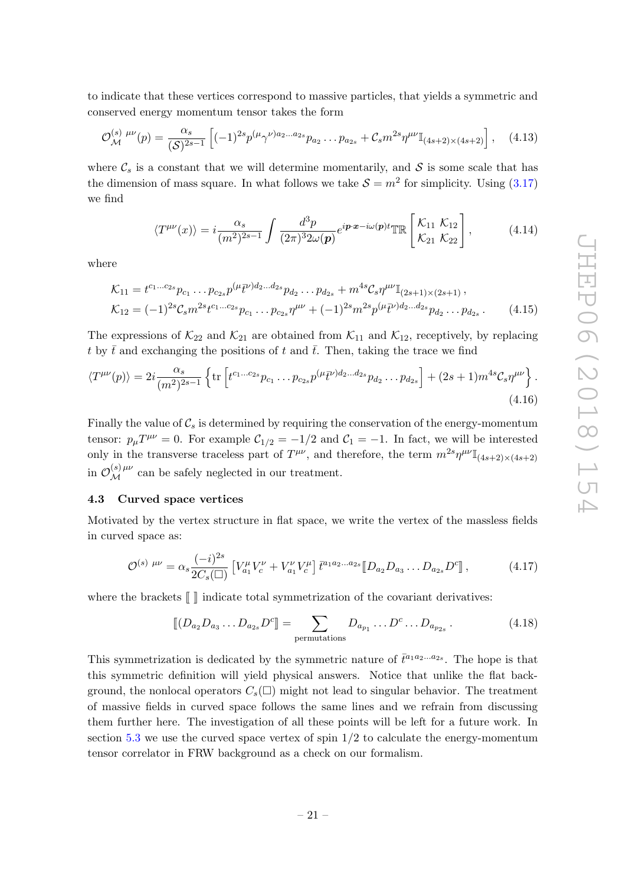to indicate that these vertices correspond to massive particles, that yields a symmetric and conserved energy momentum tensor takes the form

$$
\mathcal{O}_{\mathcal{M}}^{(s)\,\mu\nu}(p) = \frac{\alpha_s}{(\mathcal{S})^{2s-1}} \left[ (-1)^{2s} p^{(\mu} \gamma^{\nu)a_2 \dots a_{2s}} p_{a_2} \dots p_{a_{2s}} + \mathcal{C}_s m^{2s} \eta^{\mu\nu} \mathbb{I}_{(4s+2)\times(4s+2)} \right], \quad (4.13)
$$

where  $\mathcal{C}_s$  is a constant that we will determine momentarily, and  $\mathcal{S}$  is some scale that has the dimension of mass square. In what follows we take  $S = m^2$  for simplicity. Using  $(3.17)$ we find

<span id="page-22-2"></span>
$$
\langle T^{\mu\nu}(x) \rangle = i \frac{\alpha_s}{(m^2)^{2s-1}} \int \frac{d^3 p}{(2\pi)^3 2\omega(\boldsymbol{p})} e^{i \boldsymbol{p} \cdot \boldsymbol{x} - i\omega(\boldsymbol{p}) t} \mathbb{T} \mathbb{R} \begin{bmatrix} \mathcal{K}_{11} & \mathcal{K}_{12} \\ \mathcal{K}_{21} & \mathcal{K}_{22} \end{bmatrix}, \tag{4.14}
$$

where

$$
\mathcal{K}_{11} = t^{c_1...c_{2s}} p_{c_1} \dots p_{c_{2s}} p^{(\mu} \bar{t}^{\nu) d_2...d_{2s}} p_{d_2} \dots p_{d_{2s}} + m^{4s} \mathcal{C}_s \eta^{\mu\nu} \mathbb{I}_{(2s+1)\times(2s+1)},
$$
  
\n
$$
\mathcal{K}_{12} = (-1)^{2s} \mathcal{C}_s m^{2s} t^{c_1...c_{2s}} p_{c_1} \dots p_{c_{2s}} \eta^{\mu\nu} + (-1)^{2s} m^{2s} p^{(\mu} \bar{t}^{\nu) d_2...d_{2s}} p_{d_2} \dots p_{d_{2s}}.
$$
\n(4.15)

The expressions of  $\mathcal{K}_{22}$  and  $\mathcal{K}_{21}$  are obtained from  $\mathcal{K}_{11}$  and  $\mathcal{K}_{12}$ , receptively, by replacing t by  $\bar{t}$  and exchanging the positions of t and  $\bar{t}$ . Then, taking the trace we find

$$
\langle T^{\mu\nu}(p) \rangle = 2i \frac{\alpha_s}{(m^2)^{2s-1}} \left\{ \text{tr} \left[ t^{c_1...c_{2s}} p_{c_1} \dots p_{c_{2s}} p^{(\mu} \bar{t}^{\nu) d_2...d_{2s}} p_{d_2} \dots p_{d_{2s}} \right] + (2s+1) m^{4s} \mathcal{C}_s \eta^{\mu\nu} \right\}. \tag{4.16}
$$

Finally the value of  $C_s$  is determined by requiring the conservation of the energy-momentum tensor:  $p_{\mu}T^{\mu\nu} = 0$ . For example  $C_{1/2} = -1/2$  and  $C_1 = -1$ . In fact, we will be interested only in the transverse traceless part of  $T^{\mu\nu}$ , and therefore, the term  $m^{2s}\eta^{\mu\nu}\mathbb{I}_{(4s+2)\times(4s+2)}$ in  $\mathcal{O}_{\mathcal{M}}^{(s) \mu\nu}$  can be safely neglected in our treatment.

#### <span id="page-22-0"></span>4.3 Curved space vertices

Motivated by the vertex structure in flat space, we write the vertex of the massless fields in curved space as:

$$
\mathcal{O}^{(s) \ \mu\nu} = \alpha_s \frac{(-i)^{2s}}{2C_s(\square)} \left[ V_{a_1}^{\mu} V_c^{\nu} + V_{a_1}^{\nu} V_c^{\mu} \right] \bar{t}^{a_1 a_2 \dots a_{2s}} \left[ D_{a_2} D_{a_3} \dots D_{a_{2s}} D^c \right],\tag{4.17}
$$

where the brackets  $\llbracket \ \rrbracket$  indicate total symmetrization of the covariant derivatives:

<span id="page-22-1"></span>
$$
\llbracket (D_{a_2}D_{a_3}\dots D_{a_{2s}}D^c\rrbracket = \sum_{\text{permutations}} D_{a_{p_1}}\dots D^c \dots D_{a_{p_{2s}}}.
$$
\n(4.18)

This symmetrization is dedicated by the symmetric nature of  $\bar{t}^{a_1 a_2 \ldots a_{2s}}$ . The hope is that this symmetric definition will yield physical answers. Notice that unlike the flat background, the nonlocal operators  $C_s(\square)$  might not lead to singular behavior. The treatment of massive fields in curved space follows the same lines and we refrain from discussing them further here. The investigation of all these points will be left for a future work. In section [5.3](#page-28-0) we use the curved space vertex of spin  $1/2$  to calculate the energy-momentum tensor correlator in FRW background as a check on our formalism.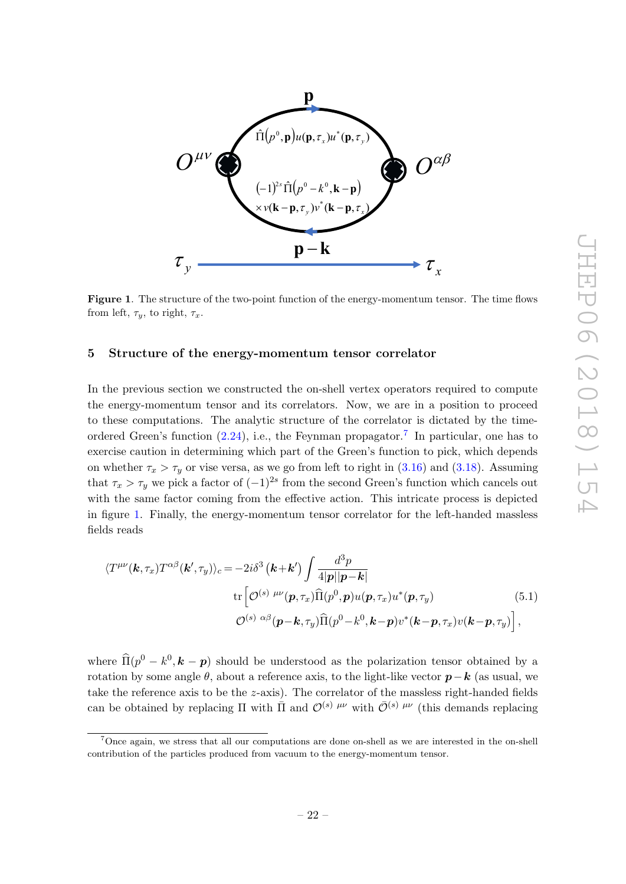

<span id="page-23-2"></span>Figure 1. The structure of the two-point function of the energy-momentum tensor. The time flows from left,  $\tau_y$ , to right,  $\tau_x$ .

#### <span id="page-23-0"></span>5 Structure of the energy-momentum tensor correlator

In the previous section we constructed the on-shell vertex operators required to compute the energy-momentum tensor and its correlators. Now, we are in a position to proceed to these computations. The analytic structure of the correlator is dictated by the timeordered Green's function  $(2.24)$ , i.e., the Feynman propagator.<sup>[7](#page-23-1)</sup> In particular, one has to exercise caution in determining which part of the Green's function to pick, which depends on whether  $\tau_x > \tau_y$  or vise versa, as we go from left to right in [\(3.16\)](#page-18-0) and [\(3.18\)](#page-19-4). Assuming that  $\tau_x > \tau_y$  we pick a factor of  $(-1)^{2s}$  from the second Green's function which cancels out with the same factor coming from the effective action. This intricate process is depicted in figure [1.](#page-23-2) Finally, the energy-momentum tensor correlator for the left-handed massless fields reads

<span id="page-23-3"></span>
$$
\langle T^{\mu\nu}(\mathbf{k},\tau_x) T^{\alpha\beta}(\mathbf{k}',\tau_y) \rangle_c = -2i\delta^3(\mathbf{k}+\mathbf{k}') \int \frac{d^3p}{4|\mathbf{p}||\mathbf{p}-\mathbf{k}|} \n\text{tr}\left[\mathcal{O}^{(s)\ \mu\nu}(\mathbf{p},\tau_x)\widehat{\Pi}(p^0,\mathbf{p})u(\mathbf{p},\tau_x)u^*(\mathbf{p},\tau_y) \right. \n\mathcal{O}^{(s)\ \alpha\beta}(\mathbf{p}-\mathbf{k},\tau_y)\widehat{\Pi}(p^0-\mathbf{k}^0,\mathbf{k}-\mathbf{p})v^*(\mathbf{k}-\mathbf{p},\tau_x)v(\mathbf{k}-\mathbf{p},\tau_y)\right],
$$
\n(5.1)

where  $\widehat{\Pi}(p^0 - k^0, k - p)$  should be understood as the polarization tensor obtained by a rotation by some angle  $\theta$ , about a reference axis, to the light-like vector  $p-k$  (as usual, we take the reference axis to be the  $z$ -axis). The correlator of the massless right-handed fields can be obtained by replacing  $\Pi$  with  $\bar{\Pi}$  and  $\mathcal{O}^{(s)}$   $^{\mu\nu}$  with  $\bar{\mathcal{O}}^{(s)}$   $^{\mu\nu}$  (this demands replacing

<span id="page-23-1"></span><sup>7</sup>Once again, we stress that all our computations are done on-shell as we are interested in the on-shell contribution of the particles produced from vacuum to the energy-momentum tensor.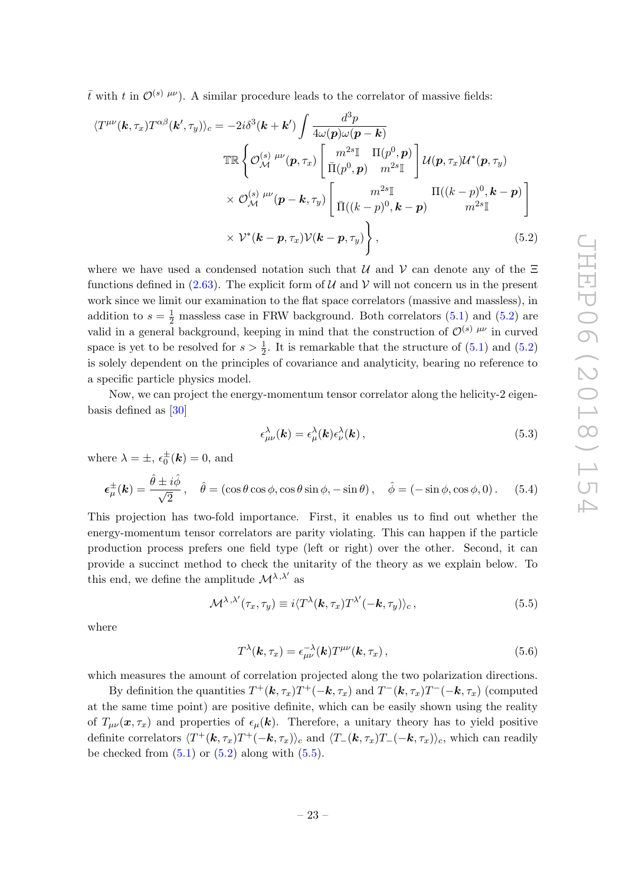$\bar{t}$  with t in  $\mathcal{O}^{(s) \mu\nu}$ ). A similar procedure leads to the correlator of massive fields:

$$
\langle T^{\mu\nu}(\mathbf{k},\tau_x) T^{\alpha\beta}(\mathbf{k}',\tau_y) \rangle_c = -2i\delta^3(\mathbf{k}+\mathbf{k}') \int \frac{d^3p}{4\omega(\mathbf{p})\omega(\mathbf{p}-\mathbf{k})} \mathbb{T}\mathbb{R} \left\{ \mathcal{O}_{\mathcal{M}}^{(s)} \stackrel{\mu\nu}{\mu}(\mathbf{p},\tau_x) \begin{bmatrix} m^{2s}\mathbb{I} & \Pi(p^0,\mathbf{p}) \\ \bar{\Pi}(p^0,\mathbf{p}) & m^{2s}\mathbb{I} \end{bmatrix} \mathcal{U}(\mathbf{p},\tau_x) \mathcal{U}^*(\mathbf{p},\tau_y) \times \mathcal{O}_{\mathcal{M}}^{(s)} \stackrel{\mu\nu}{\mu}(\mathbf{p}-\mathbf{k},\tau_y) \begin{bmatrix} m^{2s}\mathbb{I} & \Pi((k-p)^0,\mathbf{k}-\mathbf{p}) \\ \bar{\Pi}((k-p)^0,\mathbf{k}-\mathbf{p}) & m^{2s}\mathbb{I} \end{bmatrix} \times \mathcal{V}^*(\mathbf{k}-\mathbf{p},\tau_x) \mathcal{V}(\mathbf{k}-\mathbf{p},\tau_y) \right\}, \tag{5.2}
$$

where we have used a condensed notation such that  $\mathcal U$  and  $\mathcal V$  can denote any of the  $\Xi$ functions defined in [\(2.63\)](#page-15-4). The explicit form of U and V will not concern us in the present work since we limit our examination to the flat space correlators (massive and massless), in addition to  $s = \frac{1}{2}$  massless case in FRW background. Both correlators [\(5.1\)](#page-23-3) and [\(5.2\)](#page-24-0) are valid in a general background, keeping in mind that the construction of  $\mathcal{O}^{(s)}$   $^{\mu\nu}$  in curved space is yet to be resolved for  $s > \frac{1}{2}$ . It is remarkable that the structure of [\(5.1\)](#page-23-3) and [\(5.2\)](#page-24-0) is solely dependent on the principles of covariance and analyticity, bearing no reference to a specific particle physics model.

Now, we can project the energy-momentum tensor correlator along the helicity-2 eigenbasis defined as [\[30\]](#page-34-3)

<span id="page-24-0"></span>
$$
\epsilon_{\mu\nu}^{\lambda}(\mathbf{k}) = \epsilon_{\mu}^{\lambda}(\mathbf{k}) \epsilon_{\nu}^{\lambda}(\mathbf{k}) , \qquad (5.3)
$$

where  $\lambda = \pm$ ,  $\epsilon_0^{\pm}(\mathbf{k}) = 0$ , and

$$
\epsilon_{\mu}^{\pm}(\mathbf{k}) = \frac{\hat{\theta} \pm i\hat{\phi}}{\sqrt{2}}, \quad \hat{\theta} = (\cos\theta\cos\phi, \cos\theta\sin\phi, -\sin\theta), \quad \hat{\phi} = (-\sin\phi, \cos\phi, 0). \tag{5.4}
$$

This projection has two-fold importance. First, it enables us to find out whether the energy-momentum tensor correlators are parity violating. This can happen if the particle production process prefers one field type (left or right) over the other. Second, it can provide a succinct method to check the unitarity of the theory as we explain below. To this end, we define the amplitude  $\mathcal{M}^{\lambda,\lambda'}$  as

$$
\mathcal{M}^{\lambda,\lambda'}(\tau_x,\tau_y) \equiv i \langle T^{\lambda}(\mathbf{k},\tau_x) T^{\lambda'}(-\mathbf{k},\tau_y) \rangle_c, \qquad (5.5)
$$

where

<span id="page-24-1"></span>
$$
T^{\lambda}(\mathbf{k},\tau_x)=\epsilon_{\mu\nu}^{-\lambda}(\mathbf{k})T^{\mu\nu}(\mathbf{k},\tau_x),
$$
\n(5.6)

which measures the amount of correlation projected along the two polarization directions.

By definition the quantities  $T^+({\bf k},\tau_x)T^+(-{\bf k},\tau_x)$  and  $T^-({\bf k},\tau_x)T^-(-{\bf k},\tau_x)$  (computed at the same time point) are positive definite, which can be easily shown using the reality of  $T_{\mu\nu}(\mathbf{x}, \tau_{\mathbf{x}})$  and properties of  $\epsilon_{\mu}(\mathbf{k})$ . Therefore, a unitary theory has to yield positive definite correlators  $\langle T^+({\bf k},\tau_x)T^+(-{\bf k},\tau_x)\rangle_c$  and  $\langle T_-({\bf k},\tau_x)T_-(-{\bf k},\tau_x)\rangle_c$ , which can readily be checked from  $(5.1)$  or  $(5.2)$  along with  $(5.5)$ .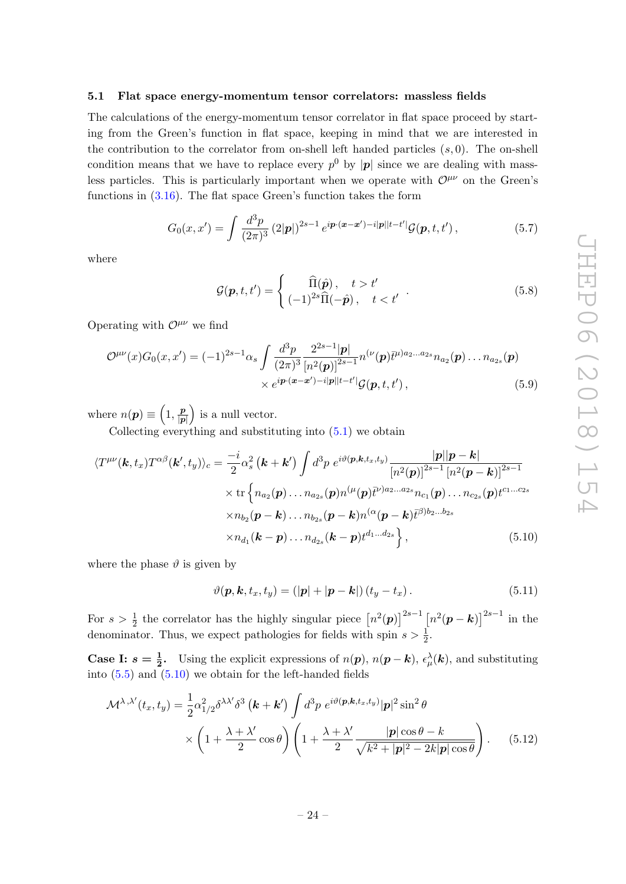#### <span id="page-25-0"></span>5.1 Flat space energy-momentum tensor correlators: massless fields

The calculations of the energy-momentum tensor correlator in flat space proceed by starting from the Green's function in flat space, keeping in mind that we are interested in the contribution to the correlator from on-shell left handed particles  $(s, 0)$ . The on-shell condition means that we have to replace every  $p^0$  by  $|p|$  since we are dealing with massless particles. This is particularly important when we operate with  $\mathcal{O}^{\mu\nu}$  on the Green's functions in  $(3.16)$ . The flat space Green's function takes the form

$$
G_0(x, x') = \int \frac{d^3p}{(2\pi)^3} (2|\mathbf{p}|)^{2s-1} e^{i\mathbf{p} \cdot (\mathbf{x} - \mathbf{x}') - i|\mathbf{p}||t - t'|} \mathcal{G}(\mathbf{p}, t, t'), \qquad (5.7)
$$

where

$$
\mathcal{G}(\mathbf{p}, t, t') = \begin{cases} \widehat{\Pi}(\hat{\mathbf{p}}), & t > t' \\ (-1)^{2s}\widehat{\Pi}(-\hat{\mathbf{p}}), & t < t' \end{cases} . \tag{5.8}
$$

Operating with  $\mathcal{O}^{\mu\nu}$  we find

$$
\mathcal{O}^{\mu\nu}(x)G_0(x,x') = (-1)^{2s-1}\alpha_s \int \frac{d^3p}{(2\pi)^3} \frac{2^{2s-1}|\mathbf{p}|}{[n^2(\mathbf{p})]^{2s-1}} n^{(\nu}(\mathbf{p}) \bar{t}^{\mu)a_2...a_{2s}} n_{a_2}(\mathbf{p}) \dots n_{a_{2s}}(\mathbf{p})
$$
  
 
$$
\times e^{i\mathbf{p}\cdot(\mathbf{x}-\mathbf{x}')-i|\mathbf{p}||t-t'|} \mathcal{G}(\mathbf{p},t,t'), \qquad (5.9)
$$

where  $n(\mathbf{p}) \equiv \left(1, \frac{\mathbf{p}}{\ln n}\right)$  $\frac{p}{|p|}$  is a null vector.

Collecting everything and substituting into [\(5.1\)](#page-23-3) we obtain

$$
\langle T^{\mu\nu}(\mathbf{k},t_x)T^{\alpha\beta}(\mathbf{k}',t_y)\rangle_c = \frac{-i}{2}\alpha_s^2(\mathbf{k}+\mathbf{k}')\int d^3p \ e^{i\vartheta(\mathbf{p},\mathbf{k},t_x,t_y)}\frac{|\mathbf{p}||\mathbf{p}-\mathbf{k}|}{[n^2(\mathbf{p})]^{2s-1}[n^2(\mathbf{p}-\mathbf{k})]^{2s-1}} \\ \times \text{tr}\left\{n_{a_2}(\mathbf{p})\ldots n_{a_{2s}}(\mathbf{p})n^{(\mu}(\mathbf{p})\bar{t}^{\nu)a_2\ldots a_{2s}}n_{c_1}(\mathbf{p})\ldots n_{c_{2s}}(\mathbf{p})t^{c_1\ldots c_{2s}}\\ \times n_{b_2}(\mathbf{p}-\mathbf{k})\ldots n_{b_{2s}}(\mathbf{p}-\mathbf{k})n^{(\alpha}(\mathbf{p}-\mathbf{k})\bar{t}^{\beta)b_2\ldots b_{2s}}\\ \times n_{d_1}(\mathbf{k}-\mathbf{p})\ldots n_{d_{2s}}(\mathbf{k}-\mathbf{p})t^{d_1\ldots d_{2s}}\right\},
$$
\n(5.10)

where the phase  $\vartheta$  is given by

<span id="page-25-2"></span><span id="page-25-1"></span>
$$
\vartheta(\mathbf{p}, \mathbf{k}, t_x, t_y) = (|\mathbf{p}| + |\mathbf{p} - \mathbf{k}|) (t_y - t_x).
$$
\n(5.11)

For  $s > \frac{1}{2}$  the correlator has the highly singular piece  $[n^2(\mathbf{p})]^{2s-1} [n^2(\mathbf{p} - \mathbf{k})]^{2s-1}$  in the denominator. Thus, we expect pathologies for fields with spin  $s > \frac{1}{2}$ .

**Case I:**  $s = \frac{1}{2}$ . Using the explicit expressions of  $n(p)$ ,  $n(p - k)$ ,  $\epsilon^{\lambda}_{\mu}(k)$ , and substituting into  $(5.5)$  and  $(5.10)$  we obtain for the left-handed fields

$$
\mathcal{M}^{\lambda,\lambda'}(t_x, t_y) = \frac{1}{2} \alpha_{1/2}^2 \delta^{\lambda\lambda'} \delta^3 \left( \mathbf{k} + \mathbf{k'} \right) \int d^3 p \ e^{i\vartheta(\mathbf{p}, \mathbf{k}, t_x, t_y)} |\mathbf{p}|^2 \sin^2 \theta
$$

$$
\times \left( 1 + \frac{\lambda + \lambda'}{2} \cos \theta \right) \left( 1 + \frac{\lambda + \lambda'}{2} \frac{|\mathbf{p}| \cos \theta - k}{\sqrt{k^2 + |\mathbf{p}|^2 - 2k|\mathbf{p}| \cos \theta}} \right). \tag{5.12}
$$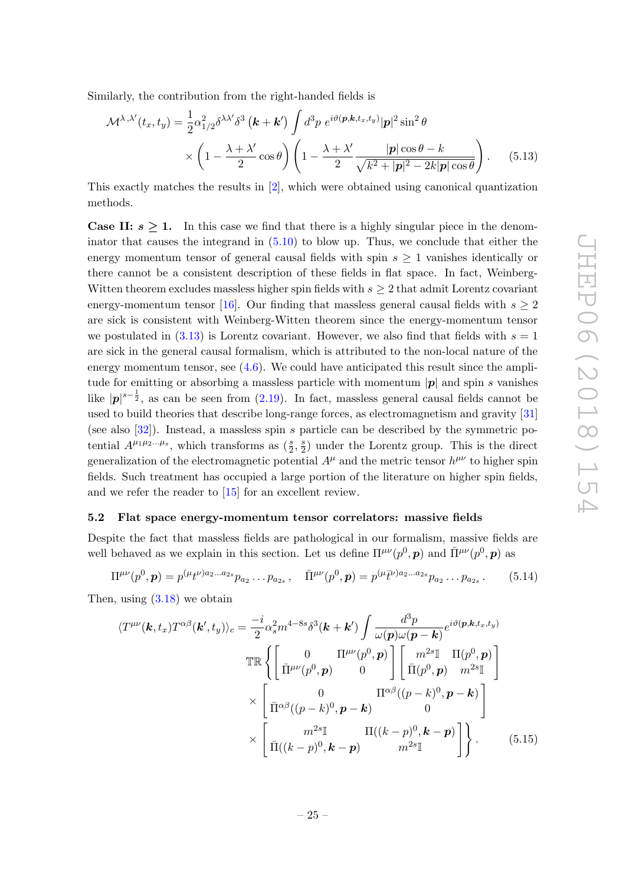Similarly, the contribution from the right-handed fields is

<span id="page-26-2"></span>
$$
\mathcal{M}^{\lambda,\lambda'}(t_x, t_y) = \frac{1}{2} \alpha_{1/2}^2 \delta^{\lambda \lambda'} \delta^3 \left( \mathbf{k} + \mathbf{k'} \right) \int d^3 p \ e^{i \vartheta(\mathbf{p}, \mathbf{k}, t_x, t_y)} |\mathbf{p}|^2 \sin^2 \theta
$$

$$
\times \left( 1 - \frac{\lambda + \lambda'}{2} \cos \theta \right) \left( 1 - \frac{\lambda + \lambda'}{2} \frac{|\mathbf{p}| \cos \theta - k}{\sqrt{k^2 + |\mathbf{p}|^2 - 2k|\mathbf{p}| \cos \theta}} \right). \tag{5.13}
$$

This exactly matches the results in [\[2\]](#page-32-1), which were obtained using canonical quantization methods.

**Case II:**  $s \geq 1$ . In this case we find that there is a highly singular piece in the denominator that causes the integrand in [\(5.10\)](#page-25-1) to blow up. Thus, we conclude that either the energy momentum tensor of general causal fields with spin  $s \geq 1$  vanishes identically or there cannot be a consistent description of these fields in flat space. In fact, Weinberg-Witten theorem excludes massless higher spin fields with  $s \geq 2$  that admit Lorentz covariant energy-momentum tensor [\[16\]](#page-33-5). Our finding that massless general causal fields with  $s \geq 2$ are sick is consistent with Weinberg-Witten theorem since the energy-momentum tensor we postulated in  $(3.13)$  is Lorentz covariant. However, we also find that fields with  $s = 1$ are sick in the general causal formalism, which is attributed to the non-local nature of the energy momentum tensor, see  $(4.6)$ . We could have anticipated this result since the amplitude for emitting or absorbing a massless particle with momentum  $|\mathbf{p}|$  and spin s vanishes like  $|p|^{s-\frac{1}{2}}$ , as can be seen from [\(2.19\)](#page-8-4). In fact, massless general causal fields cannot be used to build theories that describe long-range forces, as electromagnetism and gravity [\[31\]](#page-34-4) (see also [\[32\]](#page-34-5)). Instead, a massless spin s particle can be described by the symmetric potential  $A^{\mu_1\mu_2...\mu_s}$ , which transforms as  $(\frac{s}{2}, \frac{s}{2})$  $\frac{s}{2}$ ) under the Lorentz group. This is the direct generalization of the electromagnetic potential  $A^{\mu}$  and the metric tensor  $h^{\mu\nu}$  to higher spin fields. Such treatment has occupied a large portion of the literature on higher spin fields, and we refer the reader to [\[15\]](#page-33-4) for an excellent review.

#### <span id="page-26-0"></span>5.2 Flat space energy-momentum tensor correlators: massive fields

Despite the fact that massless fields are pathological in our formalism, massive fields are well behaved as we explain in this section. Let us define  $\Pi^{\mu\nu}(p^0, \mathbf{p})$  and  $\bar{\Pi}^{\mu\nu}(p^0, \mathbf{p})$  as

$$
\Pi^{\mu\nu}(p^0,\mathbf{p}) = p^{(\mu}t^{\nu)a_2...a_{2s}}p_{a_2}...p_{a_{2s}}, \quad \bar{\Pi}^{\mu\nu}(p^0,\mathbf{p}) = p^{(\mu}\bar{t}^{\nu)a_2...a_{2s}}p_{a_2}...p_{a_{2s}}.
$$
 (5.14)

Then, using  $(3.18)$  we obtain

<span id="page-26-1"></span>
$$
\langle T^{\mu\nu}(\mathbf{k},t_x)T^{\alpha\beta}(\mathbf{k}',t_y)\rangle_c = \frac{-i}{2}\alpha_s^2 m^{4-8s}\delta^3(\mathbf{k}+\mathbf{k}')\int \frac{d^3p}{\omega(\mathbf{p})\omega(\mathbf{p}-\mathbf{k})}e^{i\vartheta(\mathbf{p},\mathbf{k},t_x,t_y)}\n\mathbb{T}\mathbb{R}\left\{\begin{bmatrix} 0 & \Pi^{\mu\nu}(p^0,\mathbf{p}) \\ \bar{\Pi}^{\mu\nu}(p^0,\mathbf{p}) & 0 \end{bmatrix} \begin{bmatrix} m^{2s}\mathbb{I} & \Pi(p^0,\mathbf{p}) \\ \bar{\Pi}(p^0,\mathbf{p}) & m^{2s}\mathbb{I} \end{bmatrix}\right\}\n\times\n\left[\n\frac{0}{\Pi^{\alpha\beta}((p-k)^0,\mathbf{p}-\mathbf{k})} \Pi((\mathbf{k}-p)^0,\mathbf{k}-\mathbf{p})\right]\n\times\n\left[\n\frac{m^{2s}\mathbb{I}}{\Pi((\mathbf{k}-p)^0,\mathbf{k}-\mathbf{p})} \Pi((\mathbf{k}-p)^0,\mathbf{k}-\mathbf{p})\right]\n\right].
$$
\n(5.15)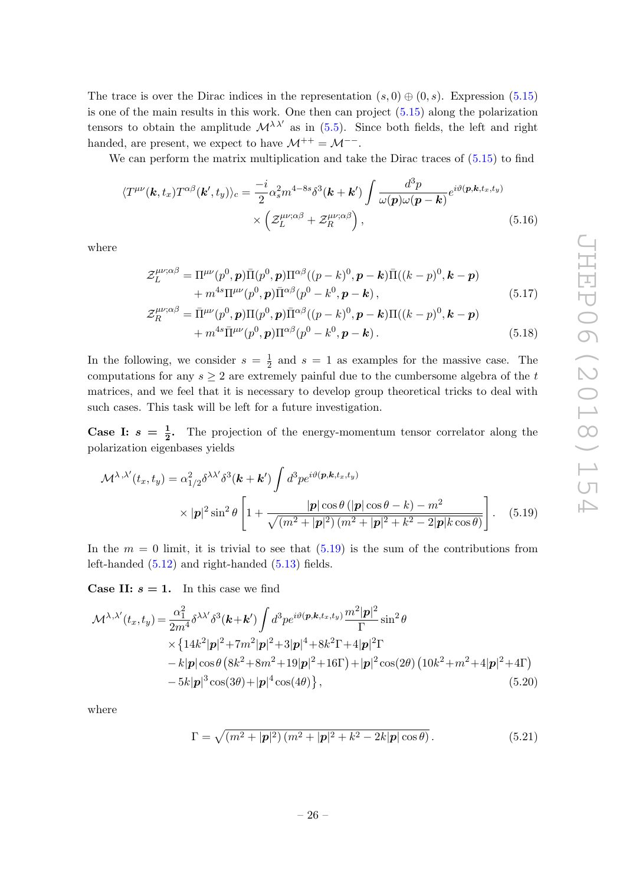The trace is over the Dirac indices in the representation  $(s, 0) \oplus (0, s)$ . Expression [\(5.15\)](#page-26-1) is one of the main results in this work. One then can project [\(5.15\)](#page-26-1) along the polarization tensors to obtain the amplitude  $\mathcal{M}^{\lambda\lambda'}$  as in [\(5.5\)](#page-24-1). Since both fields, the left and right handed, are present, we expect to have  $\mathcal{M}^{++} = \mathcal{M}^{--}$ .

We can perform the matrix multiplication and take the Dirac traces of  $(5.15)$  to find

$$
\langle T^{\mu\nu}(\boldsymbol{k},t_x) T^{\alpha\beta}(\boldsymbol{k}',t_y) \rangle_c = \frac{-i}{2} \alpha_s^2 m^{4-8s} \delta^3(\boldsymbol{k} + \boldsymbol{k}') \int \frac{d^3 p}{\omega(\boldsymbol{p}) \omega(\boldsymbol{p} - \boldsymbol{k})} e^{i\vartheta(\boldsymbol{p},\boldsymbol{k},t_x,t_y)} \times \left( \mathcal{Z}_L^{\mu\nu;\alpha\beta} + \mathcal{Z}_R^{\mu\nu;\alpha\beta} \right), \tag{5.16}
$$

where

<span id="page-27-4"></span><span id="page-27-2"></span>
$$
\mathcal{Z}_L^{\mu\nu;\alpha\beta} = \Pi^{\mu\nu}(p^0, \mathbf{p})\bar{\Pi}(p^0, \mathbf{p})\Pi^{\alpha\beta}((p-k)^0, \mathbf{p-k})\bar{\Pi}((k-p)^0, \mathbf{k-p}) + m^{4s}\Pi^{\mu\nu}(p^0, \mathbf{p})\bar{\Pi}^{\alpha\beta}(p^0 - k^0, \mathbf{p-k}),
$$
\n(5.17)

<span id="page-27-3"></span>
$$
\mathcal{Z}_{R}^{\mu\nu;\alpha\beta} = \bar{\Pi}^{\mu\nu}(p^{0}, \mathbf{p})\Pi(p^{0}, \mathbf{p})\bar{\Pi}^{\alpha\beta}((p-k)^{0}, \mathbf{p-k})\Pi((k-p)^{0}, \mathbf{k-p}) + m^{4s}\bar{\Pi}^{\mu\nu}(p^{0}, \mathbf{p})\Pi^{\alpha\beta}(p^{0} - k^{0}, \mathbf{p-k}).
$$
\n(5.18)

In the following, we consider  $s = \frac{1}{2}$  $\frac{1}{2}$  and  $s = 1$  as examples for the massive case. The computations for any  $s \geq 2$  are extremely painful due to the cumbersome algebra of the t matrices, and we feel that it is necessary to develop group theoretical tricks to deal with such cases. This task will be left for a future investigation.

**Case I:**  $s = \frac{1}{2}$ . The projection of the energy-momentum tensor correlator along the polarization eigenbases yields

$$
\mathcal{M}^{\lambda,\lambda'}(t_x, t_y) = \alpha_{1/2}^2 \delta^{\lambda\lambda'} \delta^3(\mathbf{k} + \mathbf{k}') \int d^3 p e^{i\vartheta(\mathbf{p}, \mathbf{k}, t_x, t_y)} \times |\mathbf{p}|^2 \sin^2 \theta \left[ 1 + \frac{|\mathbf{p}| \cos \theta (|\mathbf{p}| \cos \theta - \mathbf{k}) - m^2}{\sqrt{(m^2 + |\mathbf{p}|^2)(m^2 + |\mathbf{p}|^2 + k^2 - 2|\mathbf{p}|k \cos \theta)}} \right].
$$
 (5.19)

In the  $m = 0$  limit, it is trivial to see that  $(5.19)$  is the sum of the contributions from left-handed [\(5.12\)](#page-25-2) and right-handed [\(5.13\)](#page-26-2) fields.

**Case II:**  $s = 1$ . In this case we find

$$
\mathcal{M}^{\lambda,\lambda'}(t_x, t_y) = \frac{\alpha_1^2}{2m^4} \delta^{\lambda\lambda'} \delta^3(\mathbf{k} + \mathbf{k'}) \int d^3 p e^{i\vartheta(\mathbf{p}, \mathbf{k}, t_x, t_y)} \frac{m^2 |\mathbf{p}|^2}{\Gamma} \sin^2 \theta
$$
  
 
$$
\times \{ 14k^2 |\mathbf{p}|^2 + 7m^2 |\mathbf{p}|^2 + 3|\mathbf{p}|^4 + 8k^2 \Gamma + 4|\mathbf{p}|^2 \Gamma
$$
  
 
$$
- k|\mathbf{p}| \cos \theta (8k^2 + 8m^2 + 19|\mathbf{p}|^2 + 16\Gamma) + |\mathbf{p}|^2 \cos(2\theta) (10k^2 + m^2 + 4|\mathbf{p}|^2 + 4\Gamma)
$$
  
 
$$
- 5k|\mathbf{p}|^3 \cos(3\theta) + |\mathbf{p}|^4 \cos(4\theta) \}, \qquad (5.20)
$$

where

<span id="page-27-1"></span><span id="page-27-0"></span>
$$
\Gamma = \sqrt{(m^2 + |\mathbf{p}|^2)(m^2 + |\mathbf{p}|^2 + k^2 - 2k|\mathbf{p}|\cos\theta)}.
$$
 (5.21)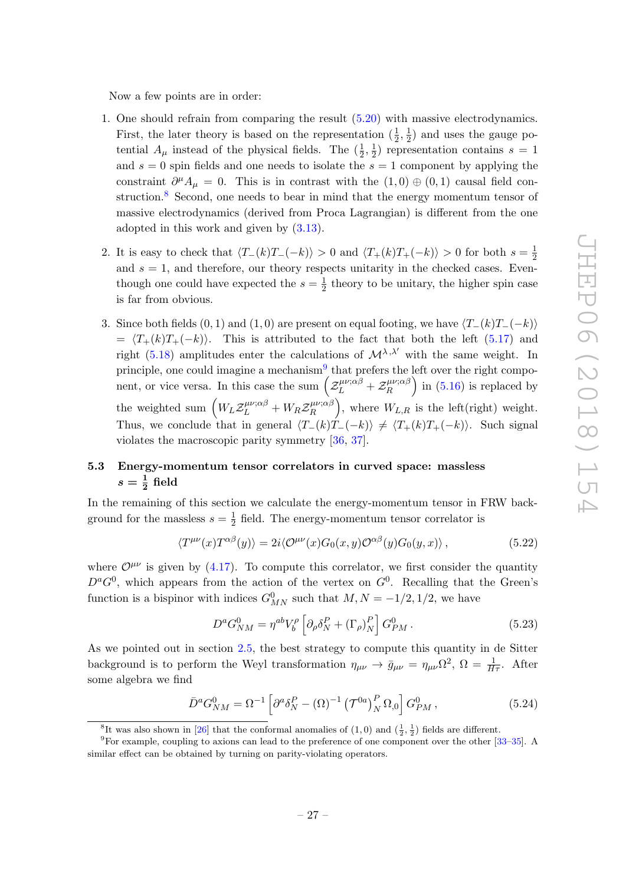Now a few points are in order:

- 1. One should refrain from comparing the result [\(5.20\)](#page-27-1) with massive electrodynamics. First, the later theory is based on the representation  $(\frac{1}{2}, \frac{1}{2})$  $\frac{1}{2}$ ) and uses the gauge potential  $A_{\mu}$  instead of the physical fields. The  $(\frac{1}{2}, \frac{1}{2})$  $(\frac{1}{2})$  representation contains  $s = 1$ and  $s = 0$  spin fields and one needs to isolate the  $s = 1$  component by applying the constraint  $\partial^{\mu}A_{\mu} = 0$ . This is in contrast with the  $(1,0) \oplus (0,1)$  causal field con-struction.<sup>[8](#page-28-1)</sup> Second, one needs to bear in mind that the energy momentum tensor of massive electrodynamics (derived from Proca Lagrangian) is different from the one adopted in this work and given by [\(3.13\)](#page-18-1).
- 2. It is easy to check that  $\langle T_{-}(k)T_{-}(-k)\rangle > 0$  and  $\langle T_{+}(k)T_{+}(-k)\rangle > 0$  for both  $s = \frac{1}{2}$ 2 and  $s = 1$ , and therefore, our theory respects unitarity in the checked cases. Eventhough one could have expected the  $s=\frac{1}{2}$  $\frac{1}{2}$  theory to be unitary, the higher spin case is far from obvious.
- 3. Since both fields  $(0, 1)$  and  $(1, 0)$  are present on equal footing, we have  $\langle T_{-}(k)T_{-}(-k)\rangle$  $= \langle T_+(k)T_+(-k)\rangle$ . This is attributed to the fact that both the left [\(5.17\)](#page-27-2) and right [\(5.18\)](#page-27-3) amplitudes enter the calculations of  $\mathcal{M}^{\lambda,\lambda'}$  with the same weight. In principle, one could imagine a mechanism<sup>[9](#page-28-2)</sup> that prefers the left over the right component, or vice versa. In this case the sum  $\left( \mathcal{Z}_L^{\mu\nu;\alpha\beta} + \mathcal{Z}_R^{\mu\nu;\alpha\beta} \right)$  $\binom{\mu\nu;\alpha\beta}{R}$  in [\(5.16\)](#page-27-4) is replaced by the weighted sum  $\left(W_L \mathcal{Z}_L^{\mu\nu;\alpha\beta} + W_R \mathcal{Z}_R^{\mu\nu;\alpha\beta}\right)$  $\binom{\mu\nu;\alpha\beta}{R}$ , where  $W_{L,R}$  is the left(right) weight. Thus, we conclude that in general  $\langle T_{-}(k)T_{-}(-k)\rangle \neq \langle T_{+}(k)T_{+}(-k)\rangle$ . Such signal violates the macroscopic parity symmetry [\[36,](#page-34-6) [37\]](#page-34-7).

## <span id="page-28-0"></span>5.3 Energy-momentum tensor correlators in curved space: massless  $s=\frac{1}{2}$  field

In the remaining of this section we calculate the energy-momentum tensor in FRW background for the massless  $s=\frac{1}{2}$  $\frac{1}{2}$  field. The energy-momentum tensor correlator is

$$
\langle T^{\mu\nu}(x) T^{\alpha\beta}(y) \rangle = 2i \langle \mathcal{O}^{\mu\nu}(x) G_0(x, y) \mathcal{O}^{\alpha\beta}(y) G_0(y, x) \rangle, \qquad (5.22)
$$

where  $\mathcal{O}^{\mu\nu}$  is given by [\(4.17\)](#page-22-1). To compute this correlator, we first consider the quantity  $D^aG^0$ , which appears from the action of the vertex on  $G^0$ . Recalling that the Green's function is a bispinor with indices  $G_{MN}^0$  such that  $M, N = -1/2, 1/2$ , we have

$$
D^a G_{NM}^0 = \eta^{ab} V_b^\rho \left[ \partial_\rho \delta_N^P + (\Gamma_\rho)_N^P \right] G_{PM}^0 \,. \tag{5.23}
$$

As we pointed out in section [2.5,](#page-12-0) the best strategy to compute this quantity in de Sitter background is to perform the Weyl transformation  $\eta_{\mu\nu} \to \bar{g}_{\mu\nu} = \eta_{\mu\nu} \Omega^2$ ,  $\Omega = \frac{1}{H\tau}$ . After some algebra we find

$$
\bar{D}^a G_{NM}^0 = \Omega^{-1} \left[ \partial^a \delta_N^P - (\Omega)^{-1} \left( \mathcal{T}^{0a} \right)_N^P \Omega_{,0} \right] G_{PM}^0 , \qquad (5.24)
$$

<span id="page-28-2"></span><span id="page-28-1"></span><sup>&</sup>lt;sup>8</sup>It was also shown in [\[26\]](#page-34-0) that the conformal anomalies of  $(1,0)$  and  $(\frac{1}{2},\frac{1}{2})$  fields are different.

<sup>9</sup>For example, coupling to axions can lead to the preference of one component over the other [\[33–](#page-34-8)[35\]](#page-34-9). A similar effect can be obtained by turning on parity-violating operators.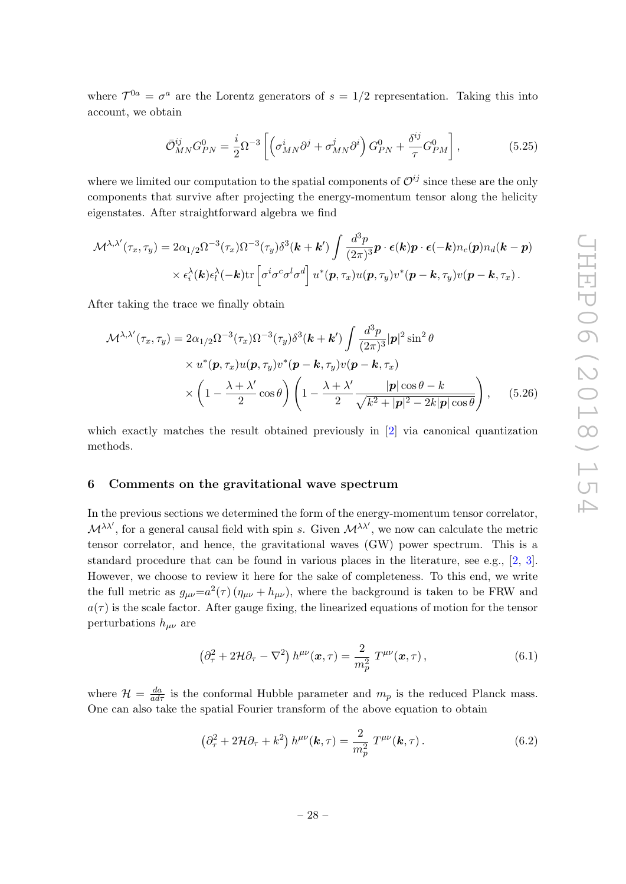where  $\mathcal{T}^{0a} = \sigma^a$  are the Lorentz generators of  $s = 1/2$  representation. Taking this into account, we obtain

$$
\bar{\mathcal{O}}_{MN}^{ij} G_{PN}^0 = \frac{i}{2} \Omega^{-3} \left[ \left( \sigma_{MN}^i \partial^j + \sigma_{MN}^j \partial^i \right) G_{PN}^0 + \frac{\delta^{ij}}{\tau} G_{PM}^0 \right],\tag{5.25}
$$

where we limited our computation to the spatial components of  $\mathcal{O}^{ij}$  since these are the only components that survive after projecting the energy-momentum tensor along the helicity eigenstates. After straightforward algebra we find

$$
\mathcal{M}^{\lambda,\lambda'}(\tau_x,\tau_y) = 2\alpha_{1/2}\Omega^{-3}(\tau_x)\Omega^{-3}(\tau_y)\delta^3(\mathbf{k}+\mathbf{k}') \int \frac{d^3p}{(2\pi)^3}\mathbf{p}\cdot\boldsymbol{\epsilon}(\mathbf{k})\mathbf{p}\cdot\boldsymbol{\epsilon}(-\mathbf{k})n_c(\mathbf{p})n_d(\mathbf{k}-\mathbf{p})
$$
  
 
$$
\times \epsilon_i^{\lambda}(\mathbf{k})\epsilon_l^{\lambda}(-\mathbf{k})\text{tr}\left[\sigma^i\sigma^c\sigma^l\sigma^d\right]u^*(\mathbf{p},\tau_x)u(\mathbf{p},\tau_y)v^*(\mathbf{p}-\mathbf{k},\tau_y)v(\mathbf{p}-\mathbf{k},\tau_x).
$$

After taking the trace we finally obtain

$$
\mathcal{M}^{\lambda,\lambda'}(\tau_x,\tau_y) = 2\alpha_{1/2}\Omega^{-3}(\tau_x)\Omega^{-3}(\tau_y)\delta^3(\mathbf{k}+\mathbf{k}') \int \frac{d^3p}{(2\pi)^3} |\mathbf{p}|^2 \sin^2\theta
$$
  
 
$$
\times u^*(\mathbf{p},\tau_x)u(\mathbf{p},\tau_y)v^*(\mathbf{p}-\mathbf{k},\tau_y)v(\mathbf{p}-\mathbf{k},\tau_x)
$$
  
 
$$
\times \left(1 - \frac{\lambda+\lambda'}{2}\cos\theta\right) \left(1 - \frac{\lambda+\lambda'}{2}\frac{|\mathbf{p}|\cos\theta - k}{\sqrt{k^2+|\mathbf{p}|^2-2k|\mathbf{p}|\cos\theta}}\right), \quad (5.26)
$$

which exactly matches the result obtained previously in [\[2\]](#page-32-1) via canonical quantization methods.

#### <span id="page-29-0"></span>6 Comments on the gravitational wave spectrum

In the previous sections we determined the form of the energy-momentum tensor correlator,  $\mathcal{M}^{\lambda\lambda'}$ , for a general causal field with spin s. Given  $\mathcal{M}^{\lambda\lambda'}$ , we now can calculate the metric tensor correlator, and hence, the gravitational waves (GW) power spectrum. This is a standard procedure that can be found in various places in the literature, see e.g., [\[2,](#page-32-1) [3\]](#page-32-2). However, we choose to review it here for the sake of completeness. To this end, we write the full metric as  $g_{\mu\nu} = a^2(\tau) (\eta_{\mu\nu} + h_{\mu\nu})$ , where the background is taken to be FRW and  $a(\tau)$  is the scale factor. After gauge fixing, the linearized equations of motion for the tensor perturbations  $h_{\mu\nu}$  are

$$
\left(\partial_{\tau}^{2} + 2\mathcal{H}\partial_{\tau} - \nabla^{2}\right)h^{\mu\nu}(\boldsymbol{x},\tau) = \frac{2}{m_{p}^{2}}T^{\mu\nu}(\boldsymbol{x},\tau),\tag{6.1}
$$

where  $\mathcal{H} = \frac{da}{ad\tau}$  is the conformal Hubble parameter and  $m_p$  is the reduced Planck mass. One can also take the spatial Fourier transform of the above equation to obtain

$$
\left(\partial_{\tau}^{2} + 2\mathcal{H}\partial_{\tau} + k^{2}\right)h^{\mu\nu}(\mathbf{k},\tau) = \frac{2}{m_{p}^{2}}T^{\mu\nu}(\mathbf{k},\tau). \tag{6.2}
$$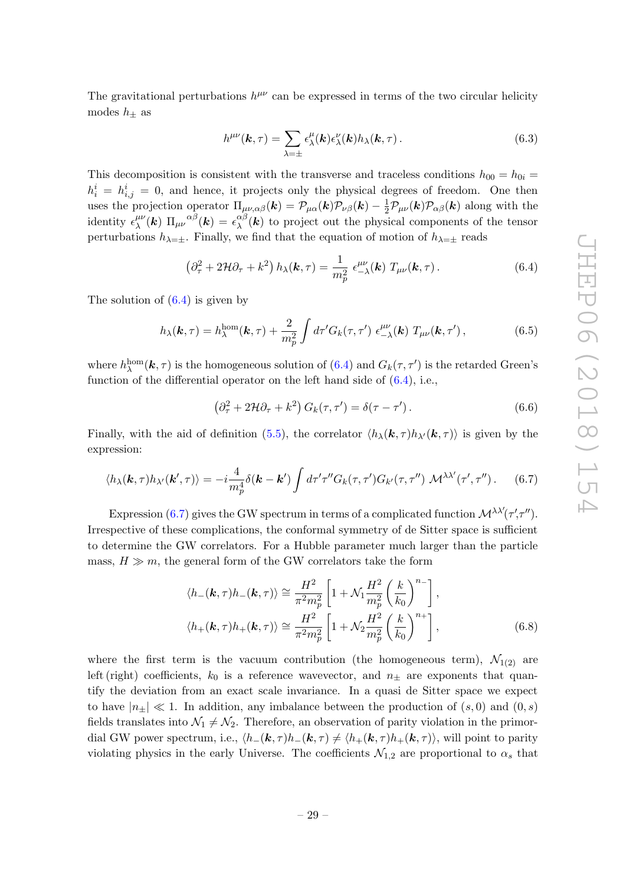The gravitational perturbations  $h^{\mu\nu}$  can be expressed in terms of the two circular helicity modes  $h_{+}$  as

<span id="page-30-0"></span>
$$
h^{\mu\nu}(\mathbf{k},\tau) = \sum_{\lambda=\pm} \epsilon^{\mu}_{\lambda}(\mathbf{k}) \epsilon^{\nu}_{\lambda}(\mathbf{k}) h_{\lambda}(\mathbf{k},\tau).
$$
 (6.3)

This decomposition is consistent with the transverse and traceless conditions  $h_{00} = h_{0i} =$  $h_i^i = h_{i,j}^i = 0$ , and hence, it projects only the physical degrees of freedom. One then uses the projection operator  $\Pi_{\mu\nu,\alpha\beta}(\mathbf{k}) = \mathcal{P}_{\mu\alpha}(\mathbf{k})\mathcal{P}_{\nu\beta}(\mathbf{k}) - \frac{1}{2}\mathcal{P}_{\mu\nu}(\mathbf{k})\mathcal{P}_{\alpha\beta}(\mathbf{k})$  along with the identity  $\epsilon_{\lambda}^{\mu\nu}$  $_{\lambda}^{\mu\nu}(\bm{k})\,\,\Pi_{\mu\nu}^{\,\,\,\,\,\alpha\beta}(\bm{k})=\epsilon_{\lambda}^{\alpha\beta}$  $\chi^{\alpha}(\mathbf{k})$  to project out the physical components of the tensor perturbations  $h_{\lambda=\pm}$ . Finally, we find that the equation of motion of  $h_{\lambda=\pm}$  reads

$$
\left(\partial_{\tau}^{2} + 2\mathcal{H}\partial_{\tau} + k^{2}\right)h_{\lambda}(\mathbf{k},\tau) = \frac{1}{m_{p}^{2}}\epsilon_{-\lambda}^{\mu\nu}(\mathbf{k})\;T_{\mu\nu}(\mathbf{k},\tau). \tag{6.4}
$$

The solution of  $(6.4)$  is given by

$$
h_{\lambda}(\boldsymbol{k},\tau) = h_{\lambda}^{\text{hom}}(\boldsymbol{k},\tau) + \frac{2}{m_p^2} \int d\tau' G_k(\tau,\tau') \epsilon_{-\lambda}^{\mu\nu}(\boldsymbol{k}) T_{\mu\nu}(\boldsymbol{k},\tau'), \qquad (6.5)
$$

where  $h_{\lambda}^{\text{hom}}(\mathbf{k},\tau)$  is the homogeneous solution of  $(6.4)$  and  $G_k(\tau,\tau')$  is the retarded Green's function of the differential operator on the left hand side of  $(6.4)$ , i.e.,

<span id="page-30-1"></span>
$$
\left(\partial_{\tau}^{2} + 2\mathcal{H}\partial_{\tau} + k^{2}\right)G_{k}(\tau, \tau') = \delta(\tau - \tau'). \qquad (6.6)
$$

Finally, with the aid of definition [\(5.5\)](#page-24-1), the correlator  $\langle h_{\lambda}(\mathbf{k}, \tau) h_{\lambda'}(\mathbf{k}, \tau) \rangle$  is given by the expression:

$$
\langle h_{\lambda}(\mathbf{k},\tau)h_{\lambda'}(\mathbf{k}',\tau)\rangle = -i\frac{4}{m_p^4}\delta(\mathbf{k}-\mathbf{k}')\int d\tau'\tau''G_k(\tau,\tau')G_{k'}(\tau,\tau'')\mathcal{M}^{\lambda\lambda'}(\tau',\tau'')\,. \tag{6.7}
$$

Expression [\(6.7\)](#page-30-1) gives the GW spectrum in terms of a complicated function  $\mathcal{M}^{\lambda\lambda'}(\tau',\tau'')$ . Irrespective of these complications, the conformal symmetry of de Sitter space is sufficient to determine the GW correlators. For a Hubble parameter much larger than the particle mass,  $H \gg m$ , the general form of the GW correlators take the form

$$
\langle h_{-}(\mathbf{k},\tau)h_{-}(\mathbf{k},\tau)\rangle \cong \frac{H^2}{\pi^2 m_p^2} \left[1 + \mathcal{N}_1 \frac{H^2}{m_p^2} \left(\frac{k}{k_0}\right)^{n_{-}}\right],
$$
  

$$
\langle h_{+}(\mathbf{k},\tau)h_{+}(\mathbf{k},\tau)\rangle \cong \frac{H^2}{\pi^2 m_p^2} \left[1 + \mathcal{N}_2 \frac{H^2}{m_p^2} \left(\frac{k}{k_0}\right)^{n_{+}}\right],
$$
(6.8)

where the first term is the vacuum contribution (the homogeneous term),  $\mathcal{N}_{1(2)}$  are left (right) coefficients,  $k_0$  is a reference wavevector, and  $n_{\pm}$  are exponents that quantify the deviation from an exact scale invariance. In a quasi de Sitter space we expect to have  $|n_{+}| \ll 1$ . In addition, any imbalance between the production of  $(s, 0)$  and  $(0, s)$ fields translates into  $\mathcal{N}_1 \neq \mathcal{N}_2$ . Therefore, an observation of parity violation in the primordial GW power spectrum, i.e.,  $\langle h_-(\mathbf{k}, \tau)h_-(\mathbf{k}, \tau) \neq \langle h_+(\mathbf{k}, \tau)h_+(\mathbf{k}, \tau) \rangle$ , will point to parity violating physics in the early Universe. The coefficients  $\mathcal{N}_{1,2}$  are proportional to  $\alpha_s$  that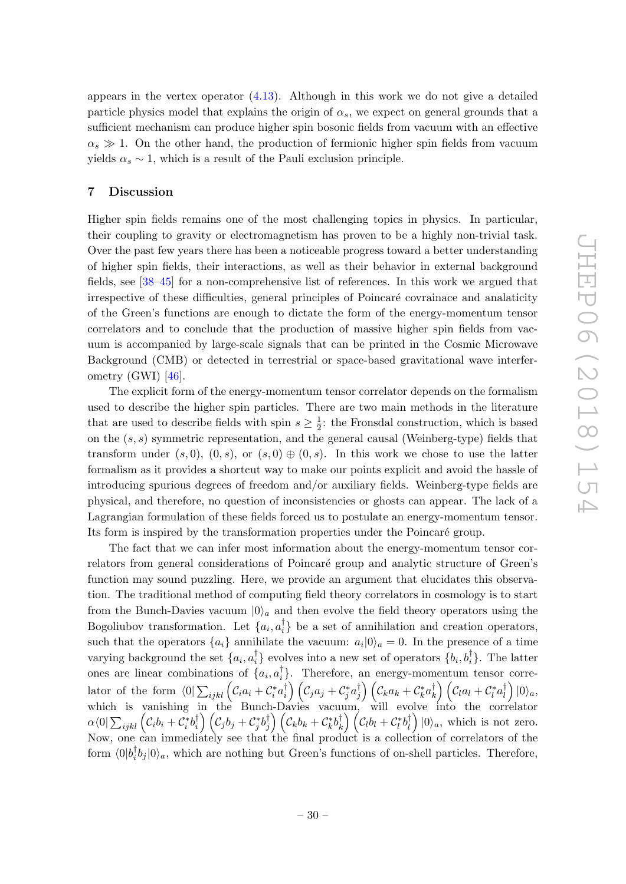appears in the vertex operator [\(4.13\)](#page-22-2). Although in this work we do not give a detailed particle physics model that explains the origin of  $\alpha_s$ , we expect on general grounds that a sufficient mechanism can produce higher spin bosonic fields from vacuum with an effective  $\alpha_s \gg 1$ . On the other hand, the production of fermionic higher spin fields from vacuum yields  $\alpha_s \sim 1$ , which is a result of the Pauli exclusion principle.

#### <span id="page-31-0"></span>7 Discussion

Higher spin fields remains one of the most challenging topics in physics. In particular, their coupling to gravity or electromagnetism has proven to be a highly non-trivial task. Over the past few years there has been a noticeable progress toward a better understanding of higher spin fields, their interactions, as well as their behavior in external background fields, see [\[38–](#page-34-10)[45\]](#page-34-11) for a non-comprehensive list of references. In this work we argued that irrespective of these difficulties, general principles of Poincaré covrainace and analaticity of the Green's functions are enough to dictate the form of the energy-momentum tensor correlators and to conclude that the production of massive higher spin fields from vacuum is accompanied by large-scale signals that can be printed in the Cosmic Microwave Background (CMB) or detected in terrestrial or space-based gravitational wave interferometry (GWI) [\[46\]](#page-34-12).

The explicit form of the energy-momentum tensor correlator depends on the formalism used to describe the higher spin particles. There are two main methods in the literature that are used to describe fields with spin  $s \geq \frac{1}{2}$  $\frac{1}{2}$ : the Fronsdal construction, which is based on the  $(s, s)$  symmetric representation, and the general causal (Weinberg-type) fields that transform under  $(s, 0)$ ,  $(0, s)$ , or  $(s, 0) \oplus (0, s)$ . In this work we chose to use the latter formalism as it provides a shortcut way to make our points explicit and avoid the hassle of introducing spurious degrees of freedom and/or auxiliary fields. Weinberg-type fields are physical, and therefore, no question of inconsistencies or ghosts can appear. The lack of a Lagrangian formulation of these fields forced us to postulate an energy-momentum tensor. Its form is inspired by the transformation properties under the Poincaré group.

The fact that we can infer most information about the energy-momentum tensor correlators from general considerations of Poincaré group and analytic structure of Green's function may sound puzzling. Here, we provide an argument that elucidates this observation. The traditional method of computing field theory correlators in cosmology is to start from the Bunch-Davies vacuum  $|0\rangle_a$  and then evolve the field theory operators using the Bogoliubov transformation. Let  $\{a_i, a_i^{\dagger}\}$  $\begin{bmatrix} 1 \\ i \end{bmatrix}$  be a set of annihilation and creation operators, such that the operators  $\{a_i\}$  annihilate the vacuum:  $a_i|0\rangle_a = 0$ . In the presence of a time varying background the set  $\{a_i, a_i^{\dagger}\}$  $\binom{†}{i}$  evolves into a new set of operators  $\{b_i, b_i^{\dagger}\}$ . The latter ones are linear combinations of  $\{a_i, a_i^{\dagger}\}$ i }. Therefore, an energy-momentum tensor correlator of the form  $\langle 0 | \sum_{ijkl} ( \mathcal{C}_i a_i + \mathcal{C}_i^* a_i^\dagger)$  $\left(\begin{smallmatrix} \dagger \ i \end{smallmatrix}\right) \left(\mathcal{C}_j a_j + \mathcal{C}_j^* a_j^\dagger \right)$  $\left(\begin{smallmatrix} \dagger \ j \end{smallmatrix}\right) \left(\mathcal{C}_k a_k + \mathcal{C}_k^* a_k^\dagger \right)$  $\binom{\dagger}{k}\left(\mathcal{C}_l a_l + \mathcal{C}_l^* a_l^\dagger\right)$ l |0ia, which is vanishing in the Bunch-Davies vacuum, will evolve into the correlator  $\alpha\langle 0| \sum_{ijkl} \left( {\cal C}_i b_i + {\cal C}_i^* b_i^{\dagger} \right)$  $\left(\begin{matrix} \dagger \ \end{matrix} \right) \left( \begin{matrix} \mathcal{C}_j b_j + \mathcal{C}_j^* b_j^\dagger \end{matrix} \right)$  $\left(\begin{smallmatrix} \dagger \ \j \end{smallmatrix}\right) \left(\mathcal{C}_k b_k + \mathcal{C}_k^* b_k^\dagger \right)$  $\binom{\dagger}{k} \left( \mathcal{C}_l b_l + \mathcal{C}_l^* b_l^{\dagger} \right)$  $\binom{\dagger}{l} |0\rangle_a$ , which is not zero. Now, one can immediately see that the final product is a collection of correlators of the form  $\langle 0|b_i^{\dagger}$  $\int_{i}^{T}b_{j}|0\rangle_{a}$ , which are nothing but Green's functions of on-shell particles. Therefore,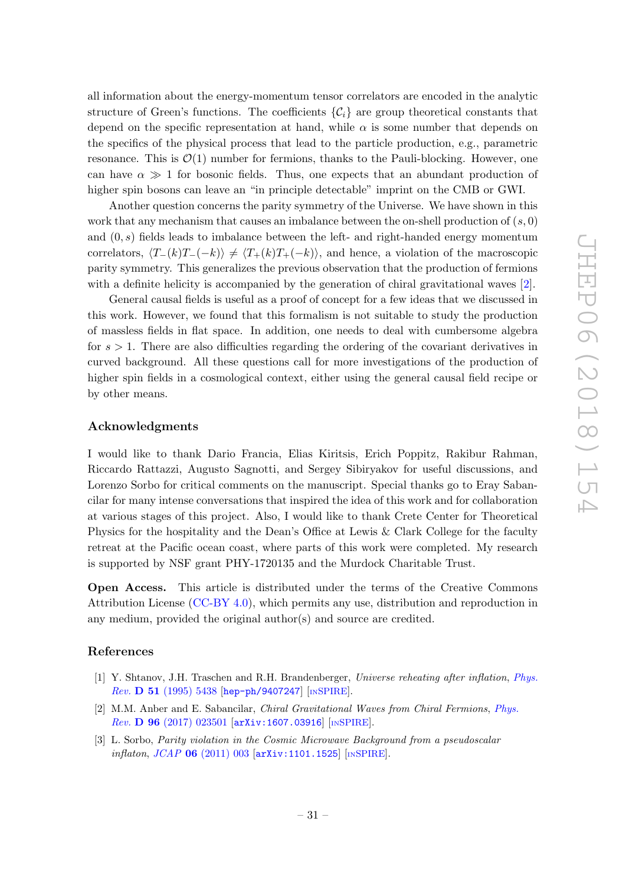all information about the energy-momentum tensor correlators are encoded in the analytic structure of Green's functions. The coefficients  ${C_i}$  are group theoretical constants that depend on the specific representation at hand, while  $\alpha$  is some number that depends on the specifics of the physical process that lead to the particle production, e.g., parametric resonance. This is  $\mathcal{O}(1)$  number for fermions, thanks to the Pauli-blocking. However, one can have  $\alpha \gg 1$  for bosonic fields. Thus, one expects that an abundant production of higher spin bosons can leave an "in principle detectable" imprint on the CMB or GWI.

Another question concerns the parity symmetry of the Universe. We have shown in this work that any mechanism that causes an imbalance between the on-shell production of  $(s, 0)$ and  $(0, s)$  fields leads to imbalance between the left- and right-handed energy momentum correlators,  $\langle T_{-}(k)T_{-}(-k)\rangle \neq \langle T_{+}(k)T_{+}(-k)\rangle$ , and hence, a violation of the macroscopic parity symmetry. This generalizes the previous observation that the production of fermions with a definite helicity is accompanied by the generation of chiral gravitational waves [\[2\]](#page-32-1).

General causal fields is useful as a proof of concept for a few ideas that we discussed in this work. However, we found that this formalism is not suitable to study the production of massless fields in flat space. In addition, one needs to deal with cumbersome algebra for  $s > 1$ . There are also difficulties regarding the ordering of the covariant derivatives in curved background. All these questions call for more investigations of the production of higher spin fields in a cosmological context, either using the general causal field recipe or by other means.

#### Acknowledgments

I would like to thank Dario Francia, Elias Kiritsis, Erich Poppitz, Rakibur Rahman, Riccardo Rattazzi, Augusto Sagnotti, and Sergey Sibiryakov for useful discussions, and Lorenzo Sorbo for critical comments on the manuscript. Special thanks go to Eray Sabancilar for many intense conversations that inspired the idea of this work and for collaboration at various stages of this project. Also, I would like to thank Crete Center for Theoretical Physics for the hospitality and the Dean's Office at Lewis & Clark College for the faculty retreat at the Pacific ocean coast, where parts of this work were completed. My research is supported by NSF grant PHY-1720135 and the Murdock Charitable Trust.

Open Access. This article is distributed under the terms of the Creative Commons Attribution License [\(CC-BY 4.0\)](https://creativecommons.org/licenses/by/4.0/), which permits any use, distribution and reproduction in any medium, provided the original author(s) and source are credited.

#### References

- <span id="page-32-0"></span>[1] Y. Shtanov, J.H. Traschen and R.H. Brandenberger, Universe reheating after inflation, [Phys.](https://doi.org/10.1103/PhysRevD.51.5438) Rev. D 51 [\(1995\) 5438](https://doi.org/10.1103/PhysRevD.51.5438) [[hep-ph/9407247](https://arxiv.org/abs/hep-ph/9407247)] [IN[SPIRE](https://inspirehep.net/search?p=find+EPRINT+hep-ph/9407247)].
- <span id="page-32-1"></span>[2] M.M. Anber and E. Sabancilar, Chiral Gravitational Waves from Chiral Fermions, [Phys.](https://doi.org/10.1103/PhysRevD.96.023501) Rev. D 96 [\(2017\) 023501](https://doi.org/10.1103/PhysRevD.96.023501) [[arXiv:1607.03916](https://arxiv.org/abs/1607.03916)] [IN[SPIRE](https://inspirehep.net/search?p=find+EPRINT+arXiv:1607.03916)].
- <span id="page-32-2"></span>[3] L. Sorbo, *Parity violation in the Cosmic Microwave Background from a pseudoscalar* inflaton, JCAP 06 [\(2011\) 003](https://doi.org/10.1088/1475-7516/2011/06/003) [[arXiv:1101.1525](https://arxiv.org/abs/1101.1525)] [IN[SPIRE](https://inspirehep.net/search?p=find+EPRINT+arXiv:1101.1525)].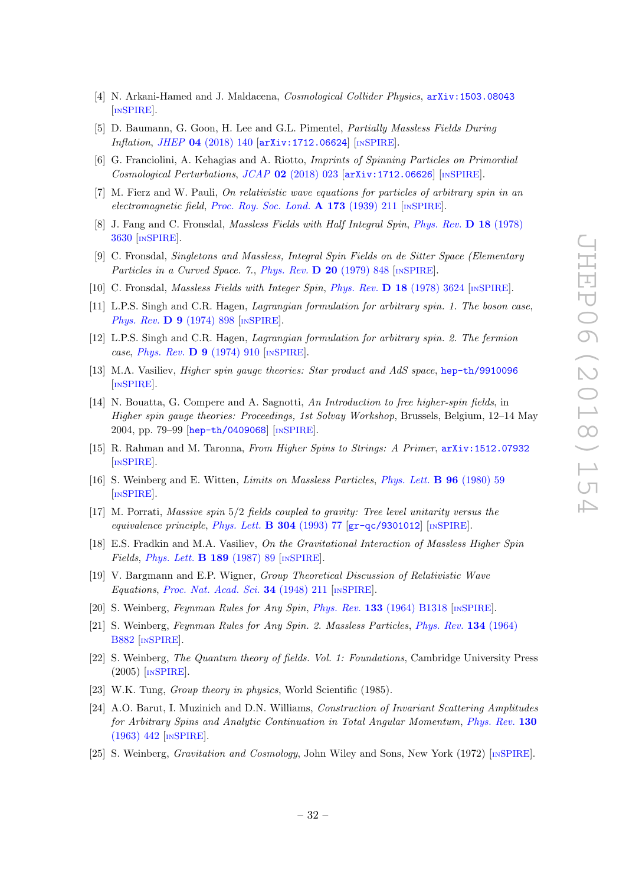- <span id="page-33-12"></span>[4] N. Arkani-Hamed and J. Maldacena, Cosmological Collider Physics, [arXiv:1503.08043](https://arxiv.org/abs/1503.08043) [IN[SPIRE](https://inspirehep.net/search?p=find+EPRINT+arXiv:1503.08043)].
- <span id="page-33-13"></span>[5] D. Baumann, G. Goon, H. Lee and G.L. Pimentel, Partially Massless Fields During Inflation, JHEP 04 [\(2018\) 140](https://doi.org/10.1007/JHEP04(2018)140) [[arXiv:1712.06624](https://arxiv.org/abs/1712.06624)] [IN[SPIRE](https://inspirehep.net/search?p=find+EPRINT+arXiv:1712.06624)].
- <span id="page-33-14"></span>[6] G. Franciolini, A. Kehagias and A. Riotto, Imprints of Spinning Particles on Primordial Cosmological Perturbations, JCAP 02 [\(2018\) 023](https://doi.org/10.1088/1475-7516/2018/02/023)  $arXiv:1712.06626$  [IN[SPIRE](https://inspirehep.net/search?p=find+EPRINT+arXiv:1712.06626)].
- <span id="page-33-0"></span>[7] M. Fierz and W. Pauli, On relativistic wave equations for particles of arbitrary spin in an electromagnetic field, [Proc. Roy. Soc. Lond.](https://doi.org/10.1098/rspa.1939.0140) A 173 (1939) 211 [IN[SPIRE](https://inspirehep.net/search?p=find+J+%22Proc.Roy.Soc.Lond.,A173,211%22)].
- <span id="page-33-1"></span>[8] J. Fang and C. Fronsdal, *Massless Fields with Half Integral Spin, [Phys. Rev.](https://doi.org/10.1103/PhysRevD.18.3630)* D 18 (1978) [3630](https://doi.org/10.1103/PhysRevD.18.3630) [IN[SPIRE](https://inspirehep.net/search?p=find+J+%22Phys.Rev.,D18,3630%22)].
- [9] C. Fronsdal, Singletons and Massless, Integral Spin Fields on de Sitter Space (Elementary Particles in a Curved Space. 7., [Phys. Rev.](https://doi.org/10.1103/PhysRevD.20.848) D 20 (1979) 848 [IN[SPIRE](https://inspirehep.net/search?p=find+J+%22Phys.Rev.,D20,848%22)].
- [10] C. Fronsdal, Massless Fields with Integer Spin, Phys. Rev. D 18 [\(1978\) 3624](https://doi.org/10.1103/PhysRevD.18.3624) [IN[SPIRE](https://inspirehep.net/search?p=find+J+%22Phys.Rev.,D18,3624%22)].
- [11] L.P.S. Singh and C.R. Hagen, *Lagrangian formulation for arbitrary spin. 1. The boson case*, [Phys. Rev.](https://doi.org/10.1103/PhysRevD.9.898) **D 9** (1974) 898 [IN[SPIRE](https://inspirehep.net/search?p=find+J+%22Phys.Rev.,D9,898%22)].
- <span id="page-33-2"></span>[12] L.P.S. Singh and C.R. Hagen, Lagrangian formulation for arbitrary spin. 2. The fermion case, [Phys. Rev.](https://doi.org/10.1103/PhysRevD.9.910) D  $9$  (1974) 910 [IN[SPIRE](https://inspirehep.net/search?p=find+J+%22Phys.Rev.,D9,910%22)].
- <span id="page-33-3"></span>[13] M.A. Vasiliev, Higher spin gauge theories: Star product and AdS space, [hep-th/9910096](https://arxiv.org/abs/hep-th/9910096) [IN[SPIRE](https://inspirehep.net/search?p=find+EPRINT+hep-th/9910096)].
- [14] N. Bouatta, G. Compere and A. Sagnotti, An Introduction to free higher-spin fields, in Higher spin gauge theories: Proceedings, 1st Solvay Workshop, Brussels, Belgium, 12–14 May 2004, pp. 79–99 [[hep-th/0409068](https://arxiv.org/abs/hep-th/0409068)] [IN[SPIRE](https://inspirehep.net/search?p=find+EPRINT+hep-th/0409068)].
- <span id="page-33-4"></span>[15] R. Rahman and M. Taronna, From Higher Spins to Strings: A Primer, [arXiv:1512.07932](https://arxiv.org/abs/1512.07932) [IN[SPIRE](https://inspirehep.net/search?p=find+EPRINT+arXiv:1512.07932)].
- <span id="page-33-5"></span>[16] S. Weinberg and E. Witten, Limits on Massless Particles, [Phys. Lett.](https://doi.org/10.1016/0370-2693(80)90212-9) B 96 (1980) 59 [IN[SPIRE](https://inspirehep.net/search?p=find+J+%22Phys.Lett.,B96,59%22)].
- <span id="page-33-6"></span>[17] M. Porrati, Massive spin 5/2 fields coupled to gravity: Tree level unitarity versus the equivalence principle, [Phys. Lett.](https://doi.org/10.1016/0370-2693(93)91403-A)  $\bf{B}$  304 (1993) 77 [[gr-qc/9301012](https://arxiv.org/abs/gr-qc/9301012)] [IN[SPIRE](https://inspirehep.net/search?p=find+EPRINT+gr-qc/9301012)].
- <span id="page-33-7"></span>[18] E.S. Fradkin and M.A. Vasiliev, On the Gravitational Interaction of Massless Higher Spin Fields, [Phys. Lett.](https://doi.org/10.1016/0370-2693(87)91275-5) B 189 (1987) 89 [IN[SPIRE](https://inspirehep.net/search?p=find+J+%22Phys.Lett.,B189,89%22)].
- <span id="page-33-8"></span>[19] V. Bargmann and E.P. Wigner, Group Theoretical Discussion of Relativistic Wave Equations, [Proc. Nat. Acad. Sci.](https://doi.org/10.1073/pnas.34.5.211) 34 (1948) 211 [IN[SPIRE](https://inspirehep.net/search?p=find+J+%22Proc.Nat.Acad.Sci.,34,211%22)].
- <span id="page-33-9"></span>[20] S. Weinberg, Feynman Rules for Any Spin, Phys. Rev. 133 [\(1964\) B1318](https://doi.org/10.1103/PhysRev.133.B1318) [IN[SPIRE](https://inspirehep.net/search?p=find+J+%22Phys.Rev.,133,B1318%22)].
- <span id="page-33-10"></span>[21] S. Weinberg, Feynman Rules for Any Spin. 2. Massless Particles, [Phys. Rev.](https://doi.org/10.1103/PhysRev.134.B882) 134 (1964) [B882](https://doi.org/10.1103/PhysRev.134.B882) [IN[SPIRE](https://inspirehep.net/search?p=find+J+%22Phys.Rev.,134,B882%22)].
- <span id="page-33-11"></span>[22] S. Weinberg, The Quantum theory of fields. Vol. 1: Foundations, Cambridge University Press (2005) [IN[SPIRE](https://inspirehep.net/search?p=find+IRN+3355144)].
- <span id="page-33-15"></span>[23] W.K. Tung, *Group theory in physics*, World Scientific (1985).
- <span id="page-33-16"></span>[24] A.O. Barut, I. Muzinich and D.N. Williams, Construction of Invariant Scattering Amplitudes for Arbitrary Spins and Analytic Continuation in Total Angular Momentum, [Phys. Rev.](https://doi.org/10.1103/PhysRev.130.442) 130 [\(1963\) 442](https://doi.org/10.1103/PhysRev.130.442) [IN[SPIRE](https://inspirehep.net/search?p=find+J+%22Phys.Rev.,130,442%22)].
- <span id="page-33-17"></span>[25] S. Weinberg, Gravitation and Cosmology, John Wiley and Sons, New York (1972) [IN[SPIRE](http://inspirehep.net/record/1410180/)].